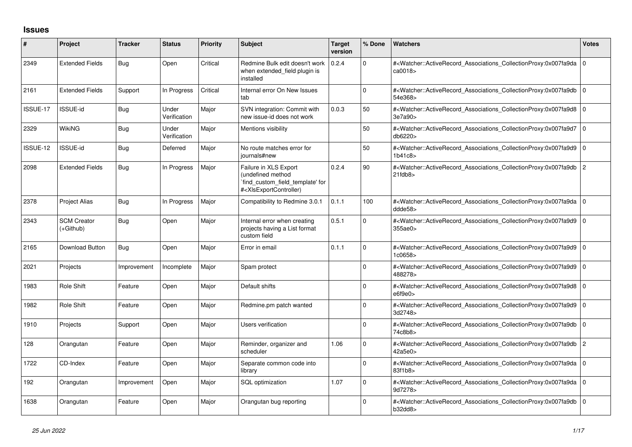## **Issues**

| ∦        | <b>Project</b>                  | <b>Tracker</b> | <b>Status</b>         | <b>Priority</b> | Subject                                                                                                                                                                                                                                                                                                                                                    | <b>Target</b><br>version | % Done      | <b>Watchers</b>                                                                                                                                                         | <b>Votes</b>   |
|----------|---------------------------------|----------------|-----------------------|-----------------|------------------------------------------------------------------------------------------------------------------------------------------------------------------------------------------------------------------------------------------------------------------------------------------------------------------------------------------------------------|--------------------------|-------------|-------------------------------------------------------------------------------------------------------------------------------------------------------------------------|----------------|
| 2349     | <b>Extended Fields</b>          | Bug            | Open                  | Critical        | Redmine Bulk edit doesn't work<br>when extended field plugin is<br>installed                                                                                                                                                                                                                                                                               | 0.2.4                    | 0           | # <watcher::activerecord_associations_collectionproxy:0x007fa9da<br>ca0018&gt;</watcher::activerecord_associations_collectionproxy:0x007fa9da<br>                       | l O            |
| 2161     | <b>Extended Fields</b>          | Support        | In Progress           | Critical        | Internal error On New Issues<br>tab                                                                                                                                                                                                                                                                                                                        |                          | 0           | # <watcher::activerecord associations="" collectionproxy:0x007fa9db<br="">54e368&gt;</watcher::activerecord>                                                            | l O            |
| ISSUE-17 | ISSUE-id                        | <b>Bug</b>     | Under<br>Verification | Major           | SVN integration: Commit with<br>new issue-id does not work                                                                                                                                                                                                                                                                                                 | 0.0.3                    | 50          | # <watcher::activerecord_associations_collectionproxy:0x007fa9d8 0<br="">3e7a90&gt;</watcher::activerecord_associations_collectionproxy:0x007fa9d8>                     |                |
| 2329     | <b>WikiNG</b>                   | Bug            | Under<br>Verification | Major           | Mentions visibility                                                                                                                                                                                                                                                                                                                                        |                          | 50          | # <watcher::activerecord_associations_collectionproxy:0x007fa9d7 0<br="">db6220&gt;</watcher::activerecord_associations_collectionproxy:0x007fa9d7>                     |                |
| ISSUE-12 | ISSUE-id                        | Bug            | Deferred              | Major           | No route matches error for<br>journals#new                                                                                                                                                                                                                                                                                                                 |                          | 50          | # <watcher::activerecord_associations_collectionproxy:0x007fa9d9<br>1b41c8</watcher::activerecord_associations_collectionproxy:0x007fa9d9<br>                           | l O            |
| 2098     | <b>Extended Fields</b>          | Bug            | In Progress           | Major           | Failure in XLS Export<br>(undefined method<br>find custom field template' for<br># <xlsexportcontroller)< td=""><td>0.2.4</td><td>90</td><td>#<watcher::activerecord_associations_collectionproxy:0x007fa9db<br><math>21</math>fdb<math>8</math></watcher::activerecord_associations_collectionproxy:0x007fa9db<br></td><td>2</td></xlsexportcontroller)<> | 0.2.4                    | 90          | # <watcher::activerecord_associations_collectionproxy:0x007fa9db<br><math>21</math>fdb<math>8</math></watcher::activerecord_associations_collectionproxy:0x007fa9db<br> | 2              |
| 2378     | <b>Project Alias</b>            | Bug            | In Progress           | Major           | Compatibility to Redmine 3.0.1                                                                                                                                                                                                                                                                                                                             | 0.1.1                    | 100         | # <watcher::activerecord 0<br="" associations="" collectionproxy:0x007fa9da=""  ="">ddde58&gt;</watcher::activerecord>                                                  |                |
| 2343     | <b>SCM Creator</b><br>(+Github) | <b>Bug</b>     | Open                  | Major           | Internal error when creating<br>projects having a List format<br>custom field                                                                                                                                                                                                                                                                              | 0.5.1                    | 0           | # <watcher::activerecord_associations_collectionproxy:0x007fa9d9 0<br="">355ae0&gt;</watcher::activerecord_associations_collectionproxy:0x007fa9d9>                     |                |
| 2165     | Download Button                 | <b>Bug</b>     | Open                  | Major           | Error in email                                                                                                                                                                                                                                                                                                                                             | 0.1.1                    | $\Omega$    | # <watcher::activerecord associations="" collectionproxy:0x007fa9d9<br="">1c0658&gt;</watcher::activerecord>                                                            | l O            |
| 2021     | Projects                        | Improvement    | Incomplete            | Major           | Spam protect                                                                                                                                                                                                                                                                                                                                               |                          | $\mathbf 0$ | # <watcher::activerecord associations="" collectionproxy:0x007fa9d9<br="">488278&gt;</watcher::activerecord>                                                            | l O            |
| 1983     | Role Shift                      | Feature        | Open                  | Major           | Default shifts                                                                                                                                                                                                                                                                                                                                             |                          | $\mathbf 0$ | # <watcher::activerecord associations="" collectionproxy:0x007fa9d8<br="">e6f9e0&gt;</watcher::activerecord>                                                            | $\overline{0}$ |
| 1982     | Role Shift                      | Feature        | Open                  | Major           | Redmine.pm patch wanted                                                                                                                                                                                                                                                                                                                                    |                          | $\Omega$    | # <watcher::activerecord_associations_collectionproxy:0x007fa9d9<br>3d2748&gt;</watcher::activerecord_associations_collectionproxy:0x007fa9d9<br>                       | l O            |
| 1910     | Projects                        | Support        | Open                  | Major           | <b>Users verification</b>                                                                                                                                                                                                                                                                                                                                  |                          | $\mathbf 0$ | # <watcher::activerecord associations="" collectionproxy:0x007fa9db<br="">74c8b8&gt;</watcher::activerecord>                                                            | l O            |
| 128      | Orangutan                       | Feature        | Open                  | Major           | Reminder, organizer and<br>scheduler                                                                                                                                                                                                                                                                                                                       | 1.06                     | $\Omega$    | # <watcher::activerecord associations="" collectionproxy:0x007fa9db<br="">42a5e0&gt;</watcher::activerecord>                                                            | $\overline{2}$ |
| 1722     | CD-Index                        | Feature        | Open                  | Major           | Separate common code into<br>library                                                                                                                                                                                                                                                                                                                       |                          | $\Omega$    | # <watcher::activerecord_associations_collectionproxy:0x007fa9da<br>83f1b8&gt;</watcher::activerecord_associations_collectionproxy:0x007fa9da<br>                       | ۱o             |
| 192      | Orangutan                       | Improvement    | Open                  | Major           | SQL optimization                                                                                                                                                                                                                                                                                                                                           | 1.07                     | $\Omega$    | # <watcher::activerecord associations="" collectionproxy:0x007fa9da<br="">9d7278&gt;</watcher::activerecord>                                                            | l O            |
| 1638     | Orangutan                       | Feature        | Open                  | Major           | Orangutan bug reporting                                                                                                                                                                                                                                                                                                                                    |                          | $\Omega$    | # <watcher::activerecord_associations_collectionproxy:0x007fa9db 0<br="">b32dd8&gt;</watcher::activerecord_associations_collectionproxy:0x007fa9db>                     |                |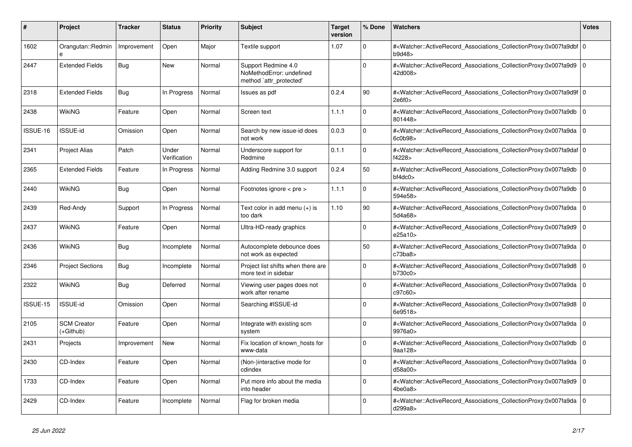| $\vert$ # | Project                         | <b>Tracker</b> | <b>Status</b>         | <b>Priority</b> | <b>Subject</b>                                                             | <b>Target</b><br>version | % Done         | <b>Watchers</b>                                                                                                                                           | <b>Votes</b>   |
|-----------|---------------------------------|----------------|-----------------------|-----------------|----------------------------------------------------------------------------|--------------------------|----------------|-----------------------------------------------------------------------------------------------------------------------------------------------------------|----------------|
| 1602      | Orangutan::Redmin<br>e          | Improvement    | Open                  | Major           | Textile support                                                            | 1.07                     | $\Omega$       | # <watcher::activerecord_associations_collectionproxy:0x007fa9dbf 0<br=""  ="">b9d48</watcher::activerecord_associations_collectionproxy:0x007fa9dbf>     |                |
| 2447      | <b>Extended Fields</b>          | <b>Bug</b>     | <b>New</b>            | Normal          | Support Redmine 4.0<br>NoMethodError: undefined<br>method 'attr_protected' |                          | 0              | # <watcher::activerecord_associations_collectionproxy:0x007fa9d9<br>42d008&gt;</watcher::activerecord_associations_collectionproxy:0x007fa9d9<br>         | l O            |
| 2318      | <b>Extended Fields</b>          | Bug            | In Progress           | Normal          | Issues as pdf                                                              | 0.2.4                    | 90             | # <watcher::activerecord_associations_collectionproxy:0x007fa9d9f 0<br=""  ="">2e6f0</watcher::activerecord_associations_collectionproxy:0x007fa9d9f>     |                |
| 2438      | WikiNG                          | Feature        | Open                  | Normal          | Screen text                                                                | 1.1.1                    | $\Omega$       | # <watcher::activerecord associations="" collectionproxy:0x007fa9db<br="">801448&gt;</watcher::activerecord>                                              | $\overline{0}$ |
| ISSUE-16  | ISSUE-id                        | Omission       | Open                  | Normal          | Search by new issue-id does<br>not work                                    | 0.0.3                    | 0              | # <watcher::activerecord_associations_collectionproxy:0x007fa9da<br>6c0b98&gt;</watcher::activerecord_associations_collectionproxy:0x007fa9da<br>         | l o            |
| 2341      | <b>Project Alias</b>            | Patch          | Under<br>Verification | Normal          | Underscore support for<br>Redmine                                          | 0.1.1                    | $\Omega$       | # <watcher::activerecord_associations_collectionproxy:0x007fa9daf 0<br=""  ="">f4228&gt;</watcher::activerecord_associations_collectionproxy:0x007fa9daf> |                |
| 2365      | <b>Extended Fields</b>          | Feature        | In Progress           | Normal          | Adding Redmine 3.0 support                                                 | 0.2.4                    | 50             | # <watcher::activerecord associations="" collectionproxy:0x007fa9db<br="">b4dc0&gt;</watcher::activerecord>                                               | $\overline{0}$ |
| 2440      | <b>WikiNG</b>                   | Bug            | Open                  | Normal          | Footnotes ignore < pre >                                                   | 1.1.1                    | 0              | # <watcher::activerecord_associations_collectionproxy:0x007fa9db<br>594e58&gt;</watcher::activerecord_associations_collectionproxy:0x007fa9db<br>         | l o            |
| 2439      | Red-Andy                        | Support        | In Progress           | Normal          | Text color in add menu $(+)$ is<br>too dark                                | 1.10                     | 90             | # <watcher::activerecord_associations_collectionproxy:0x007fa9da<br>5d4a68&gt;</watcher::activerecord_associations_collectionproxy:0x007fa9da<br>         | l O            |
| 2437      | <b>WikiNG</b>                   | Feature        | Open                  | Normal          | Ultra-HD-ready graphics                                                    |                          | $\overline{0}$ | # <watcher::activerecord_associations_collectionproxy:0x007fa9d9<br>e25a10&gt;</watcher::activerecord_associations_collectionproxy:0x007fa9d9<br>         | l 0            |
| 2436      | <b>WikiNG</b>                   | Bug            | Incomplete            | Normal          | Autocomplete debounce does<br>not work as expected                         |                          | 50             | # <watcher::activerecord_associations_collectionproxy:0x007fa9da<br>c73ba8</watcher::activerecord_associations_collectionproxy:0x007fa9da<br>             | l o            |
| 2346      | <b>Project Sections</b>         | Bug            | Incomplete            | Normal          | Project list shifts when there are<br>more text in sidebar                 |                          | $\mathbf{0}$   | # <watcher::activerecord associations="" collectionproxy:0x007fa9d8<br="">b730c0&gt;</watcher::activerecord>                                              | 0              |
| 2322      | WikiNG                          | Bug            | Deferred              | Normal          | Viewing user pages does not<br>work after rename                           |                          | 0              | # <watcher::activerecord_associations_collectionproxy:0x007fa9da<br>c97c60&gt;</watcher::activerecord_associations_collectionproxy:0x007fa9da<br>         | l 0            |
| ISSUE-15  | ISSUE-id                        | Omission       | Open                  | Normal          | Searching #ISSUE-id                                                        |                          | $\Omega$       | # <watcher::activerecord_associations_collectionproxy:0x007fa9d8<br>6e9518&gt;</watcher::activerecord_associations_collectionproxy:0x007fa9d8<br>         | l 0            |
| 2105      | <b>SCM Creator</b><br>(+Github) | Feature        | Open                  | Normal          | Integrate with existing scm<br>system                                      |                          | $\Omega$       | # <watcher::activerecord associations="" collectionproxy:0x007fa9da<br="">9976a0&gt;</watcher::activerecord>                                              | l O            |
| 2431      | Projects                        | Improvement    | <b>New</b>            | Normal          | Fix location of known hosts for<br>www-data                                |                          | 0              | # <watcher::activerecord associations="" collectionproxy:0x007fa9db<br="">9aa128&gt;</watcher::activerecord>                                              | 0              |
| 2430      | CD-Index                        | Feature        | Open                  | Normal          | (Non-)interactive mode for<br>cdindex                                      |                          | $\Omega$       | # <watcher::activerecord_associations_collectionproxy:0x007fa9da 0<br=""  ="">d58a00&gt;</watcher::activerecord_associations_collectionproxy:0x007fa9da>  |                |
| 1733      | CD-Index                        | Feature        | Open                  | Normal          | Put more info about the media<br>into header                               |                          | $\Omega$       | # <watcher::activerecord_associations_collectionproxy:0x007fa9d9<br>4be0a8&gt;</watcher::activerecord_associations_collectionproxy:0x007fa9d9<br>         | l 0            |
| 2429      | CD-Index                        | Feature        | Incomplete            | Normal          | Flag for broken media                                                      |                          | 0              | # <watcher::activerecord_associations_collectionproxy:0x007fa9da 0<br=""  ="">d299a8&gt;</watcher::activerecord_associations_collectionproxy:0x007fa9da>  |                |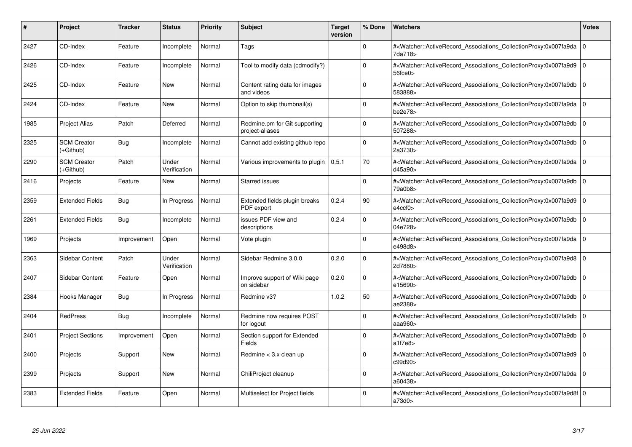| #    | Project                         | <b>Tracker</b> | <b>Status</b>         | <b>Priority</b> | <b>Subject</b>                                   | <b>Target</b><br>version | % Done   | <b>Watchers</b>                                                                                                                                                                | <b>Votes</b> |
|------|---------------------------------|----------------|-----------------------|-----------------|--------------------------------------------------|--------------------------|----------|--------------------------------------------------------------------------------------------------------------------------------------------------------------------------------|--------------|
| 2427 | CD-Index                        | Feature        | Incomplete            | Normal          | Tags                                             |                          | $\Omega$ | # <watcher::activerecord associations="" collectionproxy:0x007fa9da<br="">7da718&gt;</watcher::activerecord>                                                                   | $\mathbf 0$  |
| 2426 | CD-Index                        | Feature        | Incomplete            | Normal          | Tool to modify data (cdmodify?)                  |                          | $\Omega$ | # <watcher::activerecord_associations_collectionproxy:0x007fa9d9 0<br=""  =""><math>56</math>fce<math>0</math></watcher::activerecord_associations_collectionproxy:0x007fa9d9> |              |
| 2425 | CD-Index                        | Feature        | <b>New</b>            | Normal          | Content rating data for images<br>and videos     |                          | $\Omega$ | # <watcher::activerecord associations="" collectionproxy:0x007fa9db<br="">583888&gt;</watcher::activerecord>                                                                   | $\mathbf 0$  |
| 2424 | CD-Index                        | Feature        | New                   | Normal          | Option to skip thumbnail(s)                      |                          | $\Omega$ | # <watcher::activerecord 0<br="" associations="" collectionproxy:0x007fa9da=""  ="">be2e78</watcher::activerecord>                                                             |              |
| 1985 | <b>Project Alias</b>            | Patch          | Deferred              | Normal          | Redmine.pm for Git supporting<br>project-aliases |                          | $\Omega$ | # <watcher::activerecord_associations_collectionproxy:0x007fa9db<br>507288&gt;</watcher::activerecord_associations_collectionproxy:0x007fa9db<br>                              | $\mathbf 0$  |
| 2325 | <b>SCM Creator</b><br>(+Github) | Bug            | Incomplete            | Normal          | Cannot add existing github repo                  |                          | $\Omega$ | # <watcher::activerecord associations="" collectionproxy:0x007fa9db<br="">2a3730&gt;</watcher::activerecord>                                                                   | $\Omega$     |
| 2290 | <b>SCM Creator</b><br>(+Github) | Patch          | Under<br>Verification | Normal          | Various improvements to plugin                   | 0.5.1                    | 70       | # <watcher::activerecord_associations_collectionproxy:0x007fa9da 0<br=""  ="">d45a90&gt;</watcher::activerecord_associations_collectionproxy:0x007fa9da>                       |              |
| 2416 | Projects                        | Feature        | <b>New</b>            | Normal          | Starred issues                                   |                          | $\Omega$ | # <watcher::activerecord associations="" collectionproxy:0x007fa9db<br="">79a0b8&gt;</watcher::activerecord>                                                                   | $\mathbf 0$  |
| 2359 | <b>Extended Fields</b>          | <b>Bug</b>     | In Progress           | Normal          | Extended fields plugin breaks<br>PDF export      | 0.2.4                    | 90       | # <watcher::activerecord_associations_collectionproxy:0x007fa9d9  <br="">e4ccf0</watcher::activerecord_associations_collectionproxy:0x007fa9d9>                                | $\mathbf 0$  |
| 2261 | <b>Extended Fields</b>          | <b>Bug</b>     | Incomplete            | Normal          | issues PDF view and<br>descriptions              | 0.2.4                    | $\Omega$ | # <watcher::activerecord_associations_collectionproxy:0x007fa9db  <br="">04e728&gt;</watcher::activerecord_associations_collectionproxy:0x007fa9db>                            | $\Omega$     |
| 1969 | Projects                        | Improvement    | Open                  | Normal          | Vote plugin                                      |                          | $\Omega$ | # <watcher::activerecord 0<br="" associations="" collectionproxy:0x007fa9da=""  ="">e498d8&gt;</watcher::activerecord>                                                         |              |
| 2363 | Sidebar Content                 | Patch          | Under<br>Verification | Normal          | Sidebar Redmine 3.0.0                            | 0.2.0                    | $\Omega$ | # <watcher::activerecord_associations_collectionproxy:0x007fa9d8 0<br=""  ="">2d7880&gt;</watcher::activerecord_associations_collectionproxy:0x007fa9d8>                       |              |
| 2407 | Sidebar Content                 | Feature        | Open                  | Normal          | Improve support of Wiki page<br>on sidebar       | 0.2.0                    | $\Omega$ | # <watcher::activerecord associations="" collectionproxy:0x007fa9db<br="">e15690&gt;</watcher::activerecord>                                                                   | $\mathbf 0$  |
| 2384 | Hooks Manager                   | <b>Bug</b>     | In Progress           | Normal          | Redmine v3?                                      | 1.0.2                    | 50       | # <watcher::activerecord_associations_collectionproxy:0x007fa9db  <br="">ae2388&gt;</watcher::activerecord_associations_collectionproxy:0x007fa9db>                            | $\mathbf 0$  |
| 2404 | <b>RedPress</b>                 | <b>Bug</b>     | Incomplete            | Normal          | Redmine now requires POST<br>for logout          |                          | $\Omega$ | # <watcher::activerecord_associations_collectionproxy:0x007fa9db 0<br=""  ="">aaa960&gt;</watcher::activerecord_associations_collectionproxy:0x007fa9db>                       |              |
| 2401 | <b>Project Sections</b>         | Improvement    | Open                  | Normal          | Section support for Extended<br><b>Fields</b>    |                          | $\Omega$ | # <watcher::activerecord associations="" collectionproxy:0x007fa9db<br="">a1f7e8</watcher::activerecord>                                                                       | $\mathbf 0$  |
| 2400 | Projects                        | Support        | <b>New</b>            | Normal          | Redmine < 3.x clean up                           |                          | $\Omega$ | # <watcher::activerecord associations="" collectionproxy:0x007fa9d9<br="">c99d90&gt;</watcher::activerecord>                                                                   | $\Omega$     |
| 2399 | Projects                        | Support        | <b>New</b>            | Normal          | ChiliProject cleanup                             |                          | $\Omega$ | # <watcher::activerecord 0<br="" associations="" collectionproxy:0x007fa9da=""  ="">a60438&gt;</watcher::activerecord>                                                         |              |
| 2383 | <b>Extended Fields</b>          | Feature        | Open                  | Normal          | Multiselect for Project fields                   |                          | $\Omega$ | # <watcher::activerecord 0<br="" associations="" collectionproxy:0x007fa9d8f=""  ="">a73d0&gt;</watcher::activerecord>                                                         |              |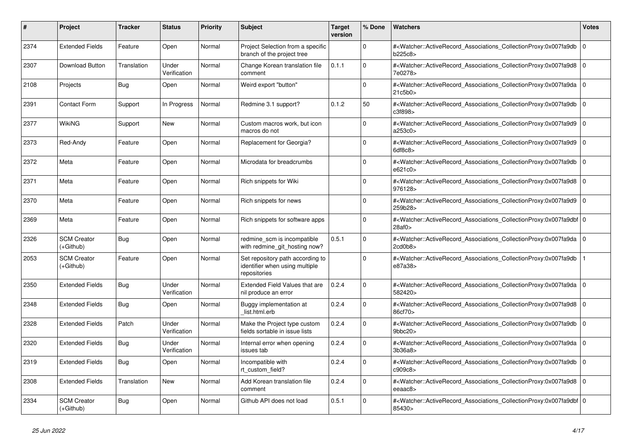| #    | <b>Project</b>                    | <b>Tracker</b> | <b>Status</b>         | <b>Priority</b> | <b>Subject</b>                                                                     | <b>Target</b><br>version | % Done       | Watchers                                                                                                                                                  | <b>Votes</b> |
|------|-----------------------------------|----------------|-----------------------|-----------------|------------------------------------------------------------------------------------|--------------------------|--------------|-----------------------------------------------------------------------------------------------------------------------------------------------------------|--------------|
| 2374 | <b>Extended Fields</b>            | Feature        | Open                  | Normal          | Project Selection from a specific<br>branch of the project tree                    |                          | $\Omega$     | # <watcher::activerecord_associations_collectionproxy:0x007fa9db<br>b225c8&gt;</watcher::activerecord_associations_collectionproxy:0x007fa9db<br>         | $\mathbf 0$  |
| 2307 | <b>Download Button</b>            | Translation    | Under<br>Verification | Normal          | Change Korean translation file<br>comment                                          | 0.1.1                    | $\Omega$     | # <watcher::activerecord associations="" collectionproxy:0x007fa9d8<br="">7e0278&gt;</watcher::activerecord>                                              | $\Omega$     |
| 2108 | Projects                          | Bug            | Open                  | Normal          | Weird export "button"                                                              |                          | $\Omega$     | # <watcher::activerecord_associations_collectionproxy:0x007fa9da 0<br=""  ="">21c5b0</watcher::activerecord_associations_collectionproxy:0x007fa9da>      |              |
| 2391 | Contact Form                      | Support        | In Progress           | Normal          | Redmine 3.1 support?                                                               | 0.1.2                    | 50           | # <watcher::activerecord associations="" collectionproxy:0x007fa9db<br="">c3f898&gt;</watcher::activerecord>                                              | $\mathbf 0$  |
| 2377 | WikiNG                            | Support        | <b>New</b>            | Normal          | Custom macros work, but icon<br>macros do not                                      |                          | $\Omega$     | # <watcher::activerecord associations="" collectionproxy:0x007fa9d9<br="">a253c0&gt;</watcher::activerecord>                                              | $\Omega$     |
| 2373 | Red-Andy                          | Feature        | Open                  | Normal          | Replacement for Georgia?                                                           |                          | $\Omega$     | # <watcher::activerecord 0<br="" associations="" collectionproxy:0x007fa9d9=""  ="">6df8c8</watcher::activerecord>                                        |              |
| 2372 | Meta                              | Feature        | Open                  | Normal          | Microdata for breadcrumbs                                                          |                          | $\Omega$     | # <watcher::activerecord associations="" collectionproxy:0x007fa9db<br="">e621c0&gt;</watcher::activerecord>                                              | $\mathbf 0$  |
| 2371 | Meta                              | Feature        | Open                  | Normal          | Rich snippets for Wiki                                                             |                          | $\Omega$     | # <watcher::activerecord_associations_collectionproxy:0x007fa9d8 0<br=""  ="">976128&gt;</watcher::activerecord_associations_collectionproxy:0x007fa9d8>  |              |
| 2370 | Meta                              | Feature        | Open                  | Normal          | Rich snippets for news                                                             |                          | $\Omega$     | # <watcher::activerecord_associations_collectionproxy:0x007fa9d9 0<br=""  ="">259b28&gt;</watcher::activerecord_associations_collectionproxy:0x007fa9d9>  |              |
| 2369 | Meta                              | Feature        | Open                  | Normal          | Rich snippets for software apps                                                    |                          | $\Omega$     | # <watcher::activerecord 0<br="" associations="" collectionproxy:0x007fa9dbf="">28af0</watcher::activerecord>                                             |              |
| 2326 | <b>SCM Creator</b><br>(+Github)   | <b>Bug</b>     | Open                  | Normal          | redmine_scm is incompatible<br>with redmine git hosting now?                       | 0.5.1                    | $\Omega$     | # <watcher::activerecord_associations_collectionproxy:0x007fa9da 0<br="">2cd0b8</watcher::activerecord_associations_collectionproxy:0x007fa9da>           |              |
| 2053 | <b>SCM Creator</b><br>(+Github)   | Feature        | Open                  | Normal          | Set repository path according to<br>identifier when using multiple<br>repositories |                          | $\Omega$     | # <watcher::activerecord associations="" collectionproxy:0x007fa9db<br="">e87a38&gt;</watcher::activerecord>                                              |              |
| 2350 | <b>Extended Fields</b>            | <b>Bug</b>     | Under<br>Verification | Normal          | <b>Extended Field Values that are</b><br>nil produce an error                      | 0.2.4                    | $\Omega$     | # <watcher::activerecord associations="" collectionproxy:0x007fa9da<br="">582420&gt;</watcher::activerecord>                                              | $\Omega$     |
| 2348 | <b>Extended Fields</b>            | <b>Bug</b>     | Open                  | Normal          | Buggy implementation at<br>list.html.erb                                           | 0.2.4                    | $\mathbf{0}$ | # <watcher::activerecord_associations_collectionproxy:0x007fa9d8 0<br="">86cf70&gt;</watcher::activerecord_associations_collectionproxy:0x007fa9d8>       |              |
| 2328 | <b>Extended Fields</b>            | Patch          | Under<br>Verification | Normal          | Make the Project type custom<br>fields sortable in issue lists                     | 0.2.4                    | $\Omega$     | # <watcher::activerecord associations="" collectionproxy:0x007fa9db<br="">9bbc20&gt;</watcher::activerecord>                                              | $\mathbf 0$  |
| 2320 | <b>Extended Fields</b>            | <b>Bug</b>     | Under<br>Verification | Normal          | Internal error when opening<br>issues tab                                          | 0.2.4                    | $\Omega$     | # <watcher::activerecord_associations_collectionproxy:0x007fa9da  <br="">3b36a8</watcher::activerecord_associations_collectionproxy:0x007fa9da>           | $\Omega$     |
| 2319 | <b>Extended Fields</b>            | Bug            | Open                  | Normal          | Incompatible with<br>rt custom field?                                              | 0.2.4                    | $\Omega$     | # <watcher::activerecord associations="" collectionproxy:0x007fa9db<br="">c909c8&gt;</watcher::activerecord>                                              | $\mathbf 0$  |
| 2308 | <b>Extended Fields</b>            | Translation    | <b>New</b>            | Normal          | Add Korean translation file<br>comment                                             | 0.2.4                    | $\Omega$     | # <watcher::activerecord_associations_collectionproxy:0x007fa9d8  <br="">eeaac8&gt;</watcher::activerecord_associations_collectionproxy:0x007fa9d8>       | $\mathbf 0$  |
| 2334 | <b>SCM Creator</b><br>$(+Github)$ | <b>Bug</b>     | Open                  | Normal          | Github API does not load                                                           | 0.5.1                    | $\Omega$     | # <watcher::activerecord_associations_collectionproxy:0x007fa9dbf 0<br=""  ="">85430&gt;</watcher::activerecord_associations_collectionproxy:0x007fa9dbf> |              |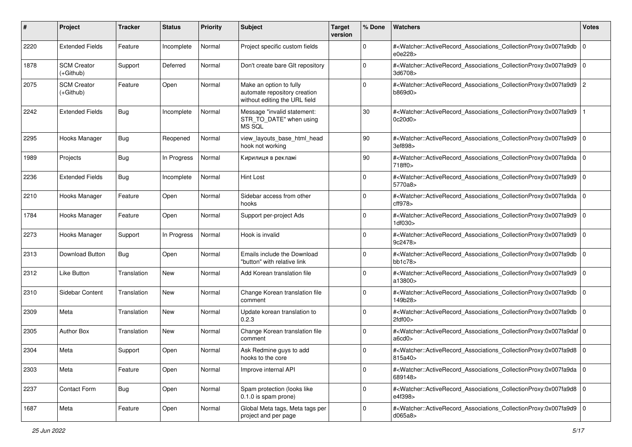| #    | Project                           | <b>Tracker</b> | <b>Status</b> | <b>Priority</b> | <b>Subject</b>                                                                           | <b>Target</b><br>version | % Done       | Watchers                                                                                                                                                  | <b>Votes</b> |
|------|-----------------------------------|----------------|---------------|-----------------|------------------------------------------------------------------------------------------|--------------------------|--------------|-----------------------------------------------------------------------------------------------------------------------------------------------------------|--------------|
| 2220 | <b>Extended Fields</b>            | Feature        | Incomplete    | Normal          | Project specific custom fields                                                           |                          | 0            | # <watcher::activerecord_associations_collectionproxy:0x007fa9db<br>e0e228&gt;</watcher::activerecord_associations_collectionproxy:0x007fa9db<br>         | l O          |
| 1878 | <b>SCM Creator</b><br>$(+Github)$ | Support        | Deferred      | Normal          | Don't create bare GIt repository                                                         |                          | $\mathbf{0}$ | # <watcher::activerecord_associations_collectionproxy:0x007fa9d9 0<br=""  ="">3d6708&gt;</watcher::activerecord_associations_collectionproxy:0x007fa9d9>  |              |
| 2075 | <b>SCM Creator</b><br>$(+Github)$ | Feature        | Open          | Normal          | Make an option to fully<br>automate repository creation<br>without editing the URL field |                          | $\mathbf{0}$ | # <watcher::activerecord_associations_collectionproxy:0x007fa9d9 2<br="">b869d0&gt;</watcher::activerecord_associations_collectionproxy:0x007fa9d9>       |              |
| 2242 | <b>Extended Fields</b>            | Bug            | Incomplete    | Normal          | Message "invalid statement:<br>STR_TO_DATE" when using<br>MS SQL                         |                          | 30           | # <watcher::activerecord_associations_collectionproxy:0x007fa9d9<br>0c20d0&gt;</watcher::activerecord_associations_collectionproxy:0x007fa9d9<br>         |              |
| 2295 | Hooks Manager                     | Bug            | Reopened      | Normal          | view_layouts_base_html_head<br>hook not working                                          |                          | 90           | # <watcher::activerecord_associations_collectionproxy:0x007fa9d9  <br="">3ef898&gt;</watcher::activerecord_associations_collectionproxy:0x007fa9d9>       | l O          |
| 1989 | Projects                          | <b>Bug</b>     | In Progress   | Normal          | Кирилиця в рекламі                                                                       |                          | 90           | # <watcher::activerecord_associations_collectionproxy:0x007fa9da<br>718ff0&gt;</watcher::activerecord_associations_collectionproxy:0x007fa9da<br>         | $\mathbf 0$  |
| 2236 | <b>Extended Fields</b>            | <b>Bug</b>     | Incomplete    | Normal          | Hint Lost                                                                                |                          | 0            | # <watcher::activerecord_associations_collectionproxy:0x007fa9d9 0<br=""  ="">5770a8&gt;</watcher::activerecord_associations_collectionproxy:0x007fa9d9>  |              |
| 2210 | Hooks Manager                     | Feature        | Open          | Normal          | Sidebar access from other<br>hooks                                                       |                          | $\Omega$     | # <watcher::activerecord_associations_collectionproxy:0x007fa9da  <br="">cff978&gt;</watcher::activerecord_associations_collectionproxy:0x007fa9da>       | l O          |
| 1784 | Hooks Manager                     | Feature        | Open          | Normal          | Support per-project Ads                                                                  |                          | $\Omega$     | # <watcher::activerecord_associations_collectionproxy:0x007fa9d9 0<br=""  ="">1df030&gt;</watcher::activerecord_associations_collectionproxy:0x007fa9d9>  |              |
| 2273 | Hooks Manager                     | Support        | In Progress   | Normal          | Hook is invalid                                                                          |                          | $\mathbf 0$  | # <watcher::activerecord_associations_collectionproxy:0x007fa9d9<br>9c2478&gt;</watcher::activerecord_associations_collectionproxy:0x007fa9d9<br>         | $\mathbf 0$  |
| 2313 | Download Button                   | <b>Bug</b>     | Open          | Normal          | Emails include the Download<br>"button" with relative link                               |                          | $\mathbf 0$  | # <watcher::activerecord_associations_collectionproxy:0x007fa9db 0<br=""  ="">bb1c78</watcher::activerecord_associations_collectionproxy:0x007fa9db>      |              |
| 2312 | Like Button                       | Translation    | New           | Normal          | Add Korean translation file                                                              |                          | $\mathbf{0}$ | # <watcher::activerecord_associations_collectionproxy:0x007fa9d9<br>a13800&gt;</watcher::activerecord_associations_collectionproxy:0x007fa9d9<br>         | l O          |
| 2310 | Sidebar Content                   | Translation    | New           | Normal          | Change Korean translation file<br>comment                                                |                          | $\mathbf{0}$ | # <watcher::activerecord_associations_collectionproxy:0x007fa9db<br>149b28&gt;</watcher::activerecord_associations_collectionproxy:0x007fa9db<br>         | $\mathbf 0$  |
| 2309 | Meta                              | Translation    | <b>New</b>    | Normal          | Update korean translation to<br>0.2.3                                                    |                          | 0            | # <watcher::activerecord_associations_collectionproxy:0x007fa9db 0<br=""  ="">2fdf00</watcher::activerecord_associations_collectionproxy:0x007fa9db>      |              |
| 2305 | <b>Author Box</b>                 | Translation    | New           | Normal          | Change Korean translation file<br>comment                                                |                          | $\mathbf{0}$ | # <watcher::activerecord_associations_collectionproxy:0x007fa9daf 0<br=""  ="">a6cd0&gt;</watcher::activerecord_associations_collectionproxy:0x007fa9daf> |              |
| 2304 | Meta                              | Support        | Open          | Normal          | Ask Redmine guys to add<br>hooks to the core                                             |                          | $\mathbf{0}$ | # <watcher::activerecord_associations_collectionproxy:0x007fa9d8 0<br=""  ="">815a40&gt;</watcher::activerecord_associations_collectionproxy:0x007fa9d8>  |              |
| 2303 | Meta                              | Feature        | Open          | Normal          | Improve internal API                                                                     |                          | $\mathbf 0$  | # <watcher::activerecord 0<br="" associations="" collectionproxy:0x007fa9da="">689148&gt;</watcher::activerecord>                                         |              |
| 2237 | <b>Contact Form</b>               | <b>Bug</b>     | Open          | Normal          | Spam protection (looks like<br>0.1.0 is spam prone)                                      |                          | $\mathbf 0$  | # <watcher::activerecord_associations_collectionproxy:0x007fa9d8 0<br="">e4f398&gt;</watcher::activerecord_associations_collectionproxy:0x007fa9d8>       |              |
| 1687 | Meta                              | Feature        | Open          | Normal          | Global Meta tags, Meta tags per<br>project and per page                                  |                          | $\mathbf 0$  | # <watcher::activerecord_associations_collectionproxy:0x007fa9d9 0<br="">d065a8&gt;</watcher::activerecord_associations_collectionproxy:0x007fa9d9>       |              |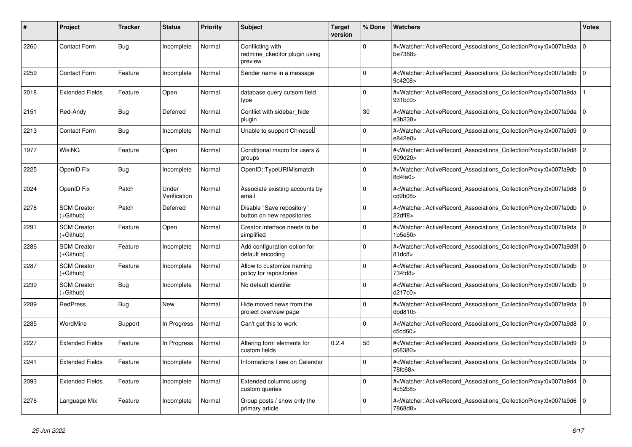| #    | Project                         | <b>Tracker</b> | <b>Status</b>         | <b>Priority</b> | <b>Subject</b>                                               | <b>Target</b><br>version | % Done       | <b>Watchers</b>                                                                                                                                          | <b>Votes</b>   |
|------|---------------------------------|----------------|-----------------------|-----------------|--------------------------------------------------------------|--------------------------|--------------|----------------------------------------------------------------------------------------------------------------------------------------------------------|----------------|
| 2260 | <b>Contact Form</b>             | Bug            | Incomplete            | Normal          | Conflicting with<br>redmine_ckeditor plugin using<br>preview |                          | 0            | # <watcher::activerecord_associations_collectionproxy:0x007fa9da<br>be7388&gt;</watcher::activerecord_associations_collectionproxy:0x007fa9da<br>        | l 0            |
| 2259 | <b>Contact Form</b>             | Feature        | Incomplete            | Normal          | Sender name in a message                                     |                          | 0            | # <watcher::activerecord_associations_collectionproxy:0x007fa9db 0<br=""  ="">9c4208&gt;</watcher::activerecord_associations_collectionproxy:0x007fa9db> |                |
| 2018 | <b>Extended Fields</b>          | Feature        | Open                  | Normal          | database query cutsom field<br>type                          |                          | $\mathbf{0}$ | # <watcher::activerecord associations="" collectionproxy:0x007fa9da<br="">931bc0</watcher::activerecord>                                                 |                |
| 2151 | Red-Andy                        | <b>Bug</b>     | Deferred              | Normal          | Conflict with sidebar hide<br>plugin                         |                          | 30           | # <watcher::activerecord associations="" collectionproxy:0x007fa9da<br="">e3b238&gt;</watcher::activerecord>                                             | ۱o             |
| 2213 | <b>Contact Form</b>             | Bug            | Incomplete            | Normal          | Unable to support Chinesel                                   |                          | $\Omega$     | # <watcher::activerecord associations="" collectionproxy:0x007fa9d9<br="">e842e0&gt;</watcher::activerecord>                                             | l O            |
| 1977 | <b>WikiNG</b>                   | Feature        | Open                  | Normal          | Conditional macro for users &<br>groups                      |                          | 0            | # <watcher::activerecord associations="" collectionproxy:0x007fa9d8<br="">909d20&gt;</watcher::activerecord>                                             | $\overline{2}$ |
| 2225 | OpenID Fix                      | <b>Bug</b>     | Incomplete            | Normal          | OpenID::TypeURIMismatch                                      |                          | 0            | # <watcher::activerecord_associations_collectionproxy:0x007fa9db<br>8d4fa0</watcher::activerecord_associations_collectionproxy:0x007fa9db<br>            | ۱o             |
| 2024 | OpenID Fix                      | Patch          | Under<br>Verification | Normal          | Associate existing accounts by<br>email                      |                          | $\Omega$     | # <watcher::activerecord_associations_collectionproxy:0x007fa9d8<br>cd9b08&gt;</watcher::activerecord_associations_collectionproxy:0x007fa9d8<br>        | l 0            |
| 2278 | <b>SCM Creator</b><br>(+Github) | Patch          | Deferred              | Normal          | Disable "Save repository"<br>button on new repositories      |                          | 0            | # <watcher::activerecord associations="" collectionproxy:0x007fa9db<br="">22dff8</watcher::activerecord>                                                 | ۱o             |
| 2291 | <b>SCM Creator</b><br>(+Github) | Feature        | Open                  | Normal          | Creator interface needs to be<br>simplified                  |                          | 0            | # <watcher::activerecord associations="" collectionproxy:0x007fa9da<br="">1b5e50&gt;</watcher::activerecord>                                             | ۱o             |
| 2286 | <b>SCM Creator</b><br>(+Github) | Feature        | Incomplete            | Normal          | Add configuration option for<br>default encoding             |                          | $\Omega$     | # <watcher::activerecord_associations_collectionproxy:0x007fa9d9f 0<br=""  ="">81dc8</watcher::activerecord_associations_collectionproxy:0x007fa9d9f>    |                |
| 2287 | <b>SCM Creator</b><br>(+Github) | Feature        | Incomplete            | Normal          | Allow to customize naming<br>policy for repositories         |                          | $\Omega$     | # <watcher::activerecord associations="" collectionproxy:0x007fa9db<br="">734fd8&gt;</watcher::activerecord>                                             | $\overline{0}$ |
| 2239 | <b>SCM Creator</b><br>(+Github) | Bug            | Incomplete            | Normal          | No default identifer                                         |                          | 0            | # <watcher::activerecord_associations_collectionproxy:0x007fa9db<br>d217c0&gt;</watcher::activerecord_associations_collectionproxy:0x007fa9db<br>        | l 0            |
| 2289 | <b>RedPress</b>                 | <b>Bug</b>     | New                   | Normal          | Hide moved news from the<br>project overview page            |                          | $\Omega$     | # <watcher::activerecord_associations_collectionproxy:0x007fa9da 0<br=""  ="">dbd810</watcher::activerecord_associations_collectionproxy:0x007fa9da>     |                |
| 2285 | WordMine                        | Support        | In Progress           | Normal          | Can't get this to work                                       |                          | $\Omega$     | # <watcher::activerecord_associations_collectionproxy:0x007fa9d8<br>c5cd60&gt;</watcher::activerecord_associations_collectionproxy:0x007fa9d8<br>        | 0              |
| 2227 | <b>Extended Fields</b>          | Feature        | In Progress           | Normal          | Altering form elements for<br>custom fields                  | 0.2.4                    | 50           | # <watcher::activerecord_associations_collectionproxy:0x007fa9d9<br>c68380&gt;</watcher::activerecord_associations_collectionproxy:0x007fa9d9<br>        | l 0            |
| 2241 | <b>Extended Fields</b>          | Feature        | Incomplete            | Normal          | Informations I see on Calendar                               |                          | $\Omega$     | # <watcher::activerecord_associations_collectionproxy:0x007fa9da<br>78fc68&gt;</watcher::activerecord_associations_collectionproxy:0x007fa9da<br>        | l O            |
| 2093 | <b>Extended Fields</b>          | Feature        | Incomplete            | Normal          | Extended columns using<br>custom queries                     |                          | $\Omega$     | # <watcher::activerecord associations="" collectionproxy:0x007fa9d4<br="">4c52b8&gt;</watcher::activerecord>                                             | 0              |
| 2276 | Language Mix                    | Feature        | Incomplete            | Normal          | Group posts / show only the<br>primary article               |                          | $\Omega$     | # <watcher::activerecord_associations_collectionproxy:0x007fa9d6<br>7868d8&gt;</watcher::activerecord_associations_collectionproxy:0x007fa9d6<br>        | l o            |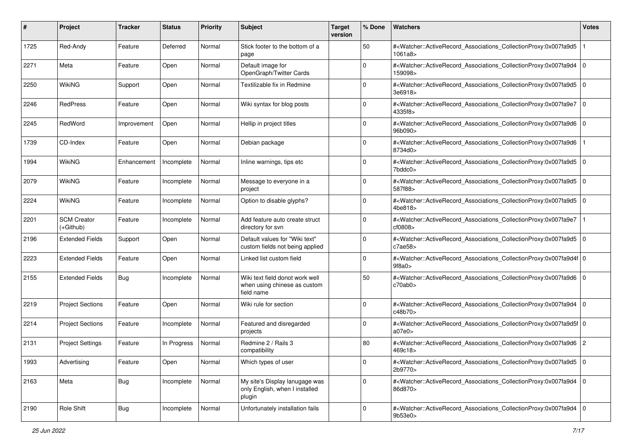| #    | Project                           | <b>Tracker</b> | <b>Status</b> | <b>Priority</b> | <b>Subject</b>                                                                | <b>Target</b><br>version | % Done      | Watchers                                                                                                                                                 | <b>Votes</b> |
|------|-----------------------------------|----------------|---------------|-----------------|-------------------------------------------------------------------------------|--------------------------|-------------|----------------------------------------------------------------------------------------------------------------------------------------------------------|--------------|
| 1725 | Red-Andy                          | Feature        | Deferred      | Normal          | Stick footer to the bottom of a<br>page                                       |                          | 50          | # <watcher::activerecord_associations_collectionproxy:0x007fa9d5<br>1061a8</watcher::activerecord_associations_collectionproxy:0x007fa9d5<br>            |              |
| 2271 | Meta                              | Feature        | Open          | Normal          | Default image for<br>OpenGraph/Twitter Cards                                  |                          | $\mathbf 0$ | # <watcher::activerecord_associations_collectionproxy:0x007fa9d4 0<br="">159098&gt;</watcher::activerecord_associations_collectionproxy:0x007fa9d4>      |              |
| 2250 | <b>WikiNG</b>                     | Support        | Open          | Normal          | Textilizable fix in Redmine                                                   |                          | $\mathbf 0$ | # <watcher::activerecord_associations_collectionproxy:0x007fa9d5 0<br=""  ="">3e6918&gt;</watcher::activerecord_associations_collectionproxy:0x007fa9d5> |              |
| 2246 | RedPress                          | Feature        | Open          | Normal          | Wiki syntax for blog posts                                                    |                          | $\mathbf 0$ | # <watcher::activerecord_associations_collectionproxy:0x007fa9e7 0<br=""  ="">4335f8&gt;</watcher::activerecord_associations_collectionproxy:0x007fa9e7> |              |
| 2245 | RedWord                           | Improvement    | Open          | Normal          | Hellip in project titles                                                      |                          | $\Omega$    | # <watcher::activerecord_associations_collectionproxy:0x007fa9d6 0<br=""  ="">96b090&gt;</watcher::activerecord_associations_collectionproxy:0x007fa9d6> |              |
| 1739 | CD-Index                          | Feature        | Open          | Normal          | Debian package                                                                |                          | $\Omega$    | # <watcher::activerecord_associations_collectionproxy:0x007fa9d6<br>8734d0&gt;</watcher::activerecord_associations_collectionproxy:0x007fa9d6<br>        |              |
| 1994 | WikiNG                            | Enhancement    | Incomplete    | Normal          | Inline warnings, tips etc                                                     |                          | $\Omega$    | # <watcher::activerecord_associations_collectionproxy:0x007fa9d5 0<br=""  ="">7bddc0&gt;</watcher::activerecord_associations_collectionproxy:0x007fa9d5> |              |
| 2079 | WikiNG                            | Feature        | Incomplete    | Normal          | Message to everyone in a<br>project                                           |                          | $\mathbf 0$ | # <watcher::activerecord_associations_collectionproxy:0x007fa9d5 0<br="">587f88&gt;</watcher::activerecord_associations_collectionproxy:0x007fa9d5>      |              |
| 2224 | <b>WikiNG</b>                     | Feature        | Incomplete    | Normal          | Option to disable glyphs?                                                     |                          | $\mathbf 0$ | # <watcher::activerecord_associations_collectionproxy:0x007fa9d5 0<br="">4be818&gt;</watcher::activerecord_associations_collectionproxy:0x007fa9d5>      |              |
| 2201 | <b>SCM Creator</b><br>$(+Github)$ | Feature        | Incomplete    | Normal          | Add feature auto create struct<br>directory for svn                           |                          | $\mathbf 0$ | # <watcher::activerecord_associations_collectionproxy:0x007fa9e7<br>cf0808&gt;</watcher::activerecord_associations_collectionproxy:0x007fa9e7<br>        |              |
| 2196 | <b>Extended Fields</b>            | Support        | Open          | Normal          | Default values for "Wiki text"<br>custom fields not being applied             |                          | $\mathbf 0$ | # <watcher::activerecord_associations_collectionproxy:0x007fa9d5 0<br=""  ="">c7ae58</watcher::activerecord_associations_collectionproxy:0x007fa9d5>     |              |
| 2223 | <b>Extended Fields</b>            | Feature        | Open          | Normal          | Linked list custom field                                                      |                          | $\mathbf 0$ | # <watcher::activerecord_associations_collectionproxy:0x007fa9d4f 0<br=""  ="">9f8a0</watcher::activerecord_associations_collectionproxy:0x007fa9d4f>    |              |
| 2155 | <b>Extended Fields</b>            | <b>Bug</b>     | Incomplete    | Normal          | Wiki text field donot work well<br>when using chinese as custom<br>field name |                          | 50          | # <watcher::activerecord_associations_collectionproxy:0x007fa9d6 0<br=""  ="">c70ab0</watcher::activerecord_associations_collectionproxy:0x007fa9d6>     |              |
| 2219 | <b>Project Sections</b>           | Feature        | Open          | Normal          | Wiki rule for section                                                         |                          | $\mathbf 0$ | # <watcher::activerecord_associations_collectionproxy:0x007fa9d4 0<br=""  ="">c48b70&gt;</watcher::activerecord_associations_collectionproxy:0x007fa9d4> |              |
| 2214 | <b>Project Sections</b>           | Feature        | Incomplete    | Normal          | Featured and disregarded<br>projects                                          |                          | $\mathbf 0$ | # <watcher::activerecord_associations_collectionproxy:0x007fa9d5f 0<br=""  ="">a07e0</watcher::activerecord_associations_collectionproxy:0x007fa9d5f>    |              |
| 2131 | <b>Project Settings</b>           | Feature        | In Progress   | Normal          | Redmine 2 / Rails 3<br>compatibility                                          |                          | 80          | # <watcher::activerecord_associations_collectionproxy:0x007fa9d6 2<br="">469c18&gt;</watcher::activerecord_associations_collectionproxy:0x007fa9d6>      |              |
| 1993 | Advertising                       | Feature        | Open          | Normal          | Which types of user                                                           |                          | 0           | # <watcher::activerecord_associations_collectionproxy:0x007fa9d5 0<br=""  ="">2b9770&gt;</watcher::activerecord_associations_collectionproxy:0x007fa9d5> |              |
| 2163 | Meta                              | <b>Bug</b>     | Incomplete    | Normal          | My site's Display lanugage was<br>only English, when I installed<br>plugin    |                          | 0           | # <watcher::activerecord_associations_collectionproxy:0x007fa9d4 0<br="">86d870&gt;</watcher::activerecord_associations_collectionproxy:0x007fa9d4>      |              |
| 2190 | Role Shift                        | <b>Bug</b>     | Incomplete    | Normal          | Unfortunately installation fails                                              |                          | 0           | # <watcher::activerecord_associations_collectionproxy:0x007fa9d4 0<br="">9b53e0&gt;</watcher::activerecord_associations_collectionproxy:0x007fa9d4>      |              |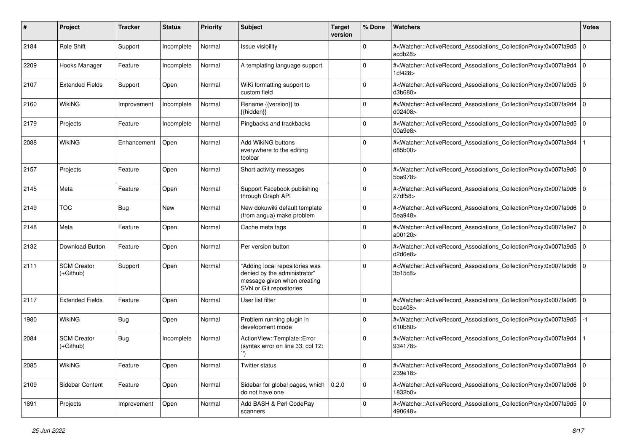| #    | Project                           | <b>Tracker</b> | <b>Status</b> | <b>Priority</b> | <b>Subject</b>                                                                                                           | <b>Target</b><br>version | % Done       | Watchers                                                                                                                                                 | <b>Votes</b> |
|------|-----------------------------------|----------------|---------------|-----------------|--------------------------------------------------------------------------------------------------------------------------|--------------------------|--------------|----------------------------------------------------------------------------------------------------------------------------------------------------------|--------------|
| 2184 | Role Shift                        | Support        | Incomplete    | Normal          | Issue visibility                                                                                                         |                          | $\mathbf{0}$ | # <watcher::activerecord_associations_collectionproxy:0x007fa9d5 0<br=""  ="">acdb28</watcher::activerecord_associations_collectionproxy:0x007fa9d5>     |              |
| 2209 | Hooks Manager                     | Feature        | Incomplete    | Normal          | A templating language support                                                                                            |                          | $\mathbf 0$  | # <watcher::activerecord_associations_collectionproxy:0x007fa9d4 0<br="">1cf428&gt;</watcher::activerecord_associations_collectionproxy:0x007fa9d4>      |              |
| 2107 | <b>Extended Fields</b>            | Support        | Open          | Normal          | WiKi formatting support to<br>custom field                                                                               |                          | $\mathbf 0$  | # <watcher::activerecord_associations_collectionproxy:0x007fa9d5 0<br=""  ="">d3b680&gt;</watcher::activerecord_associations_collectionproxy:0x007fa9d5> |              |
| 2160 | WikiNG                            | Improvement    | Incomplete    | Normal          | Rename {{version}} to<br>{{hidden}}                                                                                      |                          | $\mathbf 0$  | # <watcher::activerecord_associations_collectionproxy:0x007fa9d4 0<br=""  ="">d02408&gt;</watcher::activerecord_associations_collectionproxy:0x007fa9d4> |              |
| 2179 | Projects                          | Feature        | Incomplete    | Normal          | Pingbacks and trackbacks                                                                                                 |                          | $\Omega$     | # <watcher::activerecord_associations_collectionproxy:0x007fa9d5 0<br=""  ="">00a9e8</watcher::activerecord_associations_collectionproxy:0x007fa9d5>     |              |
| 2088 | WikiNG                            | Enhancement    | Open          | Normal          | Add WikiNG buttons<br>everywhere to the editing<br>toolbar                                                               |                          | $\Omega$     | # <watcher::activerecord_associations_collectionproxy:0x007fa9d4<br>d85b00&gt;</watcher::activerecord_associations_collectionproxy:0x007fa9d4<br>        |              |
| 2157 | Projects                          | Feature        | Open          | Normal          | Short activity messages                                                                                                  |                          | $\Omega$     | # <watcher::activerecord_associations_collectionproxy:0x007fa9d6 0<br=""  ="">5ba978&gt;</watcher::activerecord_associations_collectionproxy:0x007fa9d6> |              |
| 2145 | Meta                              | Feature        | Open          | Normal          | Support Facebook publishing<br>through Graph API                                                                         |                          | $\Omega$     | # <watcher::activerecord_associations_collectionproxy:0x007fa9d6 0<br="">27df58&gt;</watcher::activerecord_associations_collectionproxy:0x007fa9d6>      |              |
| 2149 | <b>TOC</b>                        | Bug            | <b>New</b>    | Normal          | New dokuwiki default template<br>(from angua) make problem                                                               |                          | $\Omega$     | # <watcher::activerecord_associations_collectionproxy:0x007fa9d6 0<br="">5ea948&gt;</watcher::activerecord_associations_collectionproxy:0x007fa9d6>      |              |
| 2148 | Meta                              | Feature        | Open          | Normal          | Cache meta tags                                                                                                          |                          | $\Omega$     | # <watcher::activerecord_associations_collectionproxy:0x007fa9e7 0<br=""  ="">a00120</watcher::activerecord_associations_collectionproxy:0x007fa9e7>     |              |
| 2132 | Download Button                   | Feature        | Open          | Normal          | Per version button                                                                                                       |                          | 0            | # <watcher::activerecord_associations_collectionproxy:0x007fa9d5 0<br=""  ="">d2d6e8</watcher::activerecord_associations_collectionproxy:0x007fa9d5>     |              |
| 2111 | <b>SCM Creator</b><br>$(+Github)$ | Support        | Open          | Normal          | "Adding local repositories was<br>denied by the administrator"<br>message given when creating<br>SVN or Git repositories |                          | $\Omega$     | # <watcher::activerecord_associations_collectionproxy:0x007fa9d6 0<br=""  ="">3b15c8</watcher::activerecord_associations_collectionproxy:0x007fa9d6>     |              |
| 2117 | <b>Extended Fields</b>            | Feature        | Open          | Normal          | User list filter                                                                                                         |                          | $\mathbf 0$  | # <watcher::activerecord_associations_collectionproxy:0x007fa9d6 0<br=""  ="">bca408</watcher::activerecord_associations_collectionproxy:0x007fa9d6>     |              |
| 1980 | WikiNG                            | Bug            | Open          | Normal          | Problem running plugin in<br>development mode                                                                            |                          | $\Omega$     | # <watcher::activerecord_associations_collectionproxy:0x007fa9d5<br>610b80&gt;</watcher::activerecord_associations_collectionproxy:0x007fa9d5<br>        | -1           |
| 2084 | <b>SCM Creator</b><br>$(+Github)$ | Bug            | Incomplete    | Normal          | ActionView::Template::Error<br>(syntax error on line 33, col 12:                                                         |                          | $\Omega$     | # <watcher::activerecord_associations_collectionproxy:0x007fa9d4<br>934178&gt;</watcher::activerecord_associations_collectionproxy:0x007fa9d4<br>        |              |
| 2085 | <b>WikiNG</b>                     | Feature        | Open          | Normal          | <b>Twitter status</b>                                                                                                    |                          | 0            | # <watcher::activerecord 0<br="" associations="" collectionproxy:0x007fa9d4="">239e18&gt;</watcher::activerecord>                                        |              |
| 2109 | Sidebar Content                   | Feature        | Open          | Normal          | Sidebar for global pages, which<br>do not have one                                                                       | 0.2.0                    | 0            | # <watcher::activerecord_associations_collectionproxy:0x007fa9d6 0<br="">1832b0&gt;</watcher::activerecord_associations_collectionproxy:0x007fa9d6>      |              |
| 1891 | Projects                          | Improvement    | Open          | Normal          | Add BASH & Perl CodeRay<br>scanners                                                                                      |                          | 0            | # <watcher::activerecord_associations_collectionproxy:0x007fa9d5 0<br=""  ="">490648&gt;</watcher::activerecord_associations_collectionproxy:0x007fa9d5> |              |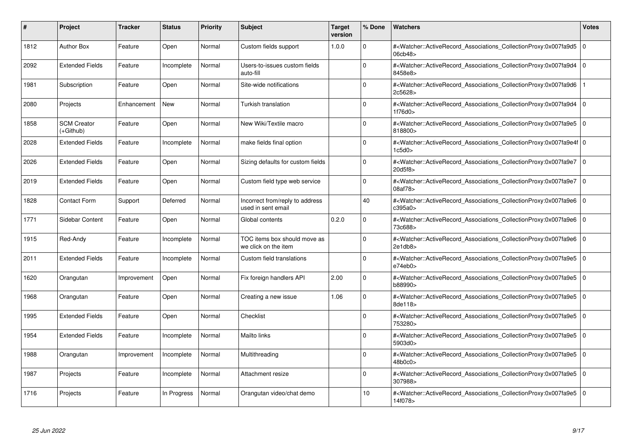| #    | Project                         | <b>Tracker</b> | <b>Status</b> | <b>Priority</b> | <b>Subject</b>                                        | <b>Target</b><br>version | % Done      | <b>Watchers</b>                                                                                                                                          | <b>Votes</b> |
|------|---------------------------------|----------------|---------------|-----------------|-------------------------------------------------------|--------------------------|-------------|----------------------------------------------------------------------------------------------------------------------------------------------------------|--------------|
| 1812 | <b>Author Box</b>               | Feature        | Open          | Normal          | Custom fields support                                 | 1.0.0                    | $\Omega$    | # <watcher::activerecord associations="" collectionproxy:0x007fa9d5<br="">06cb48&gt;</watcher::activerecord>                                             | $\mathbf 0$  |
| 2092 | <b>Extended Fields</b>          | Feature        | Incomplete    | Normal          | Users-to-issues custom fields<br>auto-fill            |                          | $\Omega$    | # <watcher::activerecord associations="" collectionproxy:0x007fa9d4<br="">8458e8&gt;</watcher::activerecord>                                             | $\Omega$     |
| 1981 | Subscription                    | Feature        | Open          | Normal          | Site-wide notifications                               |                          | $\Omega$    | # <watcher::activerecord_associations_collectionproxy:0x007fa9d6<br>2c5628&gt;</watcher::activerecord_associations_collectionproxy:0x007fa9d6<br>        |              |
| 2080 | Projects                        | Enhancement    | <b>New</b>    | Normal          | Turkish translation                                   |                          | $\Omega$    | # <watcher::activerecord_associations_collectionproxy:0x007fa9d4 0<br="">1f76d0&gt;</watcher::activerecord_associations_collectionproxy:0x007fa9d4>      |              |
| 1858 | <b>SCM Creator</b><br>(+Github) | Feature        | Open          | Normal          | New Wiki/Textile macro                                |                          | $\Omega$    | # <watcher::activerecord_associations_collectionproxy:0x007fa9e5 0<br=""  ="">818800&gt;</watcher::activerecord_associations_collectionproxy:0x007fa9e5> |              |
| 2028 | <b>Extended Fields</b>          | Feature        | Incomplete    | Normal          | make fields final option                              |                          | $\Omega$    | # <watcher::activerecord_associations_collectionproxy:0x007fa9e4f 0<br="">1c5d0&gt;</watcher::activerecord_associations_collectionproxy:0x007fa9e4f>     |              |
| 2026 | <b>Extended Fields</b>          | Feature        | Open          | Normal          | Sizing defaults for custom fields                     |                          | $\Omega$    | # <watcher::activerecord 0<br="" associations="" collectionproxy:0x007fa9e7=""  ="">20d5f8</watcher::activerecord>                                       |              |
| 2019 | <b>Extended Fields</b>          | Feature        | Open          | Normal          | Custom field type web service                         |                          | $\Omega$    | # <watcher::activerecord_associations_collectionproxy:0x007fa9e7 0<br=""  ="">08af78&gt;</watcher::activerecord_associations_collectionproxy:0x007fa9e7> |              |
| 1828 | <b>Contact Form</b>             | Support        | Deferred      | Normal          | Incorrect from/reply to address<br>used in sent email |                          | 40          | # <watcher::activerecord 0<br="" associations="" collectionproxy:0x007fa9e6=""  ="">c395a0&gt;</watcher::activerecord>                                   |              |
| 1771 | Sidebar Content                 | Feature        | Open          | Normal          | Global contents                                       | 0.2.0                    | $\Omega$    | # <watcher::activerecord 0<br="" associations="" collectionproxy:0x007fa9e6=""  ="">73c688&gt;</watcher::activerecord>                                   |              |
| 1915 | Red-Andy                        | Feature        | Incomplete    | Normal          | TOC items box should move as<br>we click on the item  |                          | $\Omega$    | # <watcher::activerecord_associations_collectionproxy:0x007fa9e6 0<br=""  ="">2e1db8&gt;</watcher::activerecord_associations_collectionproxy:0x007fa9e6> |              |
| 2011 | <b>Extended Fields</b>          | Feature        | Incomplete    | Normal          | Custom field translations                             |                          | $\Omega$    | # <watcher::activerecord_associations_collectionproxy:0x007fa9e5 0<br=""  ="">e74eb0</watcher::activerecord_associations_collectionproxy:0x007fa9e5>     |              |
| 1620 | Orangutan                       | Improvement    | Open          | Normal          | Fix foreign handlers API                              | 2.00                     | $\Omega$    | # <watcher::activerecord 0<br="" associations="" collectionproxy:0x007fa9e5=""  ="">b88990&gt;</watcher::activerecord>                                   |              |
| 1968 | Orangutan                       | Feature        | Open          | Normal          | Creating a new issue                                  | 1.06                     | $\Omega$    | # <watcher::activerecord_associations_collectionproxy:0x007fa9e5<br>8de118&gt;</watcher::activerecord_associations_collectionproxy:0x007fa9e5<br>        | $\Omega$     |
| 1995 | <b>Extended Fields</b>          | Feature        | Open          | Normal          | Checklist                                             |                          | $\Omega$    | # <watcher::activerecord 0<br="" associations="" collectionproxy:0x007fa9e5=""  ="">753280&gt;</watcher::activerecord>                                   |              |
| 1954 | <b>Extended Fields</b>          | Feature        | Incomplete    | Normal          | Mailto links                                          |                          | $\Omega$    | # <watcher::activerecord_associations_collectionproxy:0x007fa9e5 0<br=""  ="">5903d0&gt;</watcher::activerecord_associations_collectionproxy:0x007fa9e5> |              |
| 1988 | Orangutan                       | Improvement    | Incomplete    | Normal          | Multithreading                                        |                          | $\Omega$    | # <watcher::activerecord_associations_collectionproxy:0x007fa9e5 0<br=""  ="">48b0c0&gt;</watcher::activerecord_associations_collectionproxy:0x007fa9e5> |              |
| 1987 | Projects                        | Feature        | Incomplete    | Normal          | Attachment resize                                     |                          | $\mathbf 0$ | # <watcher::activerecord 0<br="" associations="" collectionproxy:0x007fa9e5=""  ="">307988&gt;</watcher::activerecord>                                   |              |
| 1716 | Projects                        | Feature        | In Progress   | Normal          | Orangutan video/chat demo                             |                          | 10          | # <watcher::activerecord_associations_collectionproxy:0x007fa9e5 0<br=""  ="">14f078&gt;</watcher::activerecord_associations_collectionproxy:0x007fa9e5> |              |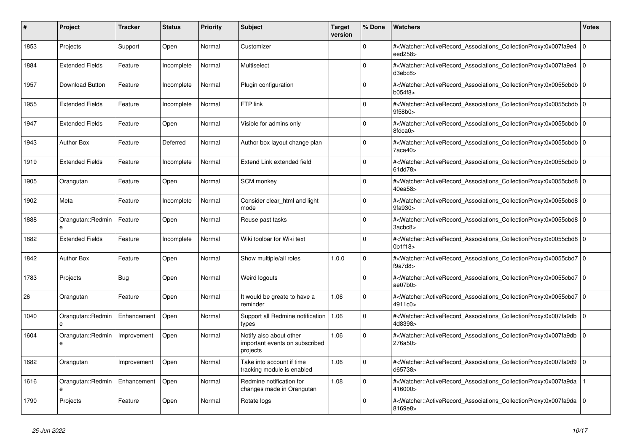| #    | <b>Project</b>         | <b>Tracker</b> | <b>Status</b> | <b>Priority</b> | <b>Subject</b>                                                        | <b>Target</b><br>version | % Done   | <b>Watchers</b>                                                                                                                                                 | <b>Votes</b>   |
|------|------------------------|----------------|---------------|-----------------|-----------------------------------------------------------------------|--------------------------|----------|-----------------------------------------------------------------------------------------------------------------------------------------------------------------|----------------|
| 1853 | Projects               | Support        | Open          | Normal          | Customizer                                                            |                          | $\Omega$ | # <watcher::activerecord_associations_collectionproxy:0x007fa9e4<br>eed258&gt;</watcher::activerecord_associations_collectionproxy:0x007fa9e4<br>               | l 0            |
| 1884 | <b>Extended Fields</b> | Feature        | Incomplete    | Normal          | Multiselect                                                           |                          | $\Omega$ | # <watcher::activerecord_associations_collectionproxy:0x007fa9e4<br>d3ebc8</watcher::activerecord_associations_collectionproxy:0x007fa9e4<br>                   | $\overline{0}$ |
| 1957 | Download Button        | Feature        | Incomplete    | Normal          | Plugin configuration                                                  |                          | $\Omega$ | # <watcher::activerecord 0<br="" associations="" collectionproxy:0x0055cbdb=""  ="">b054f8&gt;</watcher::activerecord>                                          |                |
| 1955 | <b>Extended Fields</b> | Feature        | Incomplete    | Normal          | FTP link                                                              |                          | $\Omega$ | # <watcher::activerecord_associations_collectionproxy:0x0055cbdb 0<br=""  ="">9f58b0</watcher::activerecord_associations_collectionproxy:0x0055cbdb>            |                |
| 1947 | <b>Extended Fields</b> | Feature        | Open          | Normal          | Visible for admins only                                               |                          | $\Omega$ | # <watcher::activerecord_associations_collectionproxy:0x0055cbdb 0<br=""  ="">8fdca0&gt;</watcher::activerecord_associations_collectionproxy:0x0055cbdb>        |                |
| 1943 | <b>Author Box</b>      | Feature        | Deferred      | Normal          | Author box layout change plan                                         |                          | $\Omega$ | # <watcher::activerecord 0<br="" associations="" collectionproxy:0x0055cbdb=""  ="">7aca40&gt;</watcher::activerecord>                                          |                |
| 1919 | <b>Extended Fields</b> | Feature        | Incomplete    | Normal          | Extend Link extended field                                            |                          | $\Omega$ | # <watcher::activerecord 0<br="" associations="" collectionproxy:0x0055cbdb=""  ="">61dd78&gt;</watcher::activerecord>                                          |                |
| 1905 | Orangutan              | Feature        | Open          | Normal          | <b>SCM</b> monkey                                                     |                          | $\Omega$ | # <watcher::activerecord 0<br="" associations="" collectionproxy:0x0055cbd8=""  ="">40ea58&gt;</watcher::activerecord>                                          |                |
| 1902 | Meta                   | Feature        | Incomplete    | Normal          | Consider clear html and light<br>mode                                 |                          | $\Omega$ | # <watcher::activerecord_associations_collectionproxy:0x0055cbd8 0<br=""  ="">9fa930&gt;</watcher::activerecord_associations_collectionproxy:0x0055cbd8>        |                |
| 1888 | Orangutan::Redmin      | Feature        | Open          | Normal          | Reuse past tasks                                                      |                          | $\Omega$ | # <watcher::activerecord_associations_collectionproxy:0x0055cbd8 0<br="">3acbc8&gt;</watcher::activerecord_associations_collectionproxy:0x0055cbd8>             |                |
| 1882 | <b>Extended Fields</b> | Feature        | Incomplete    | Normal          | Wiki toolbar for Wiki text                                            |                          | $\Omega$ | # <watcher::activerecord_associations_collectionproxy:0x0055cbd8 0<br=""  ="">0<sub>b1f18</sub></watcher::activerecord_associations_collectionproxy:0x0055cbd8> |                |
| 1842 | <b>Author Box</b>      | Feature        | Open          | Normal          | Show multiple/all roles                                               | 1.0.0                    | $\Omega$ | # <watcher::activerecord 0<br="" associations="" collectionproxy:0x0055cbd7="">f9a7d8</watcher::activerecord>                                                   |                |
| 1783 | Projects               | Bug            | Open          | Normal          | Weird logouts                                                         |                          | $\Omega$ | # <watcher::activerecord_associations_collectionproxy:0x0055cbd7 0<br="">ae07b0&gt;</watcher::activerecord_associations_collectionproxy:0x0055cbd7>             |                |
| 26   | Orangutan              | Feature        | Open          | Normal          | It would be greate to have a<br>reminder                              | 1.06                     | $\Omega$ | # <watcher::activerecord_associations_collectionproxy:0x0055cbd7 0<br=""  ="">4911c0&gt;</watcher::activerecord_associations_collectionproxy:0x0055cbd7>        |                |
| 1040 | Orangutan::Redmin<br>e | Enhancement    | Open          | Normal          | Support all Redmine notification<br>types                             | 1.06                     | $\Omega$ | # <watcher::activerecord_associations_collectionproxy:0x007fa9db<br>4d8398&gt;</watcher::activerecord_associations_collectionproxy:0x007fa9db<br>               | l o            |
| 1604 | Orangutan::Redmin<br>e | Improvement    | Open          | Normal          | Notify also about other<br>important events on subscribed<br>projects | 1.06                     | $\Omega$ | # <watcher::activerecord associations="" collectionproxy:0x007fa9db<br="">276a50&gt;</watcher::activerecord>                                                    | $\overline{0}$ |
| 1682 | Orangutan              | Improvement    | Open          | Normal          | Take into account if time<br>tracking module is enabled               | 1.06                     | $\Omega$ | # <watcher::activerecord 0<br="" associations="" collectionproxy:0x007fa9d9=""  ="">d65738&gt;</watcher::activerecord>                                          |                |
| 1616 | Orangutan::Redmin<br>e | Enhancement    | Open          | Normal          | Redmine notification for<br>changes made in Orangutan                 | 1.08                     | $\Omega$ | # <watcher::activerecord_associations_collectionproxy:0x007fa9da<br>416000&gt;</watcher::activerecord_associations_collectionproxy:0x007fa9da<br>               |                |
| 1790 | Projects               | Feature        | Open          | Normal          | Rotate logs                                                           |                          | $\Omega$ | # <watcher::activerecord_associations_collectionproxy:0x007fa9da<br>8169e8&gt;</watcher::activerecord_associations_collectionproxy:0x007fa9da<br>               | l 0            |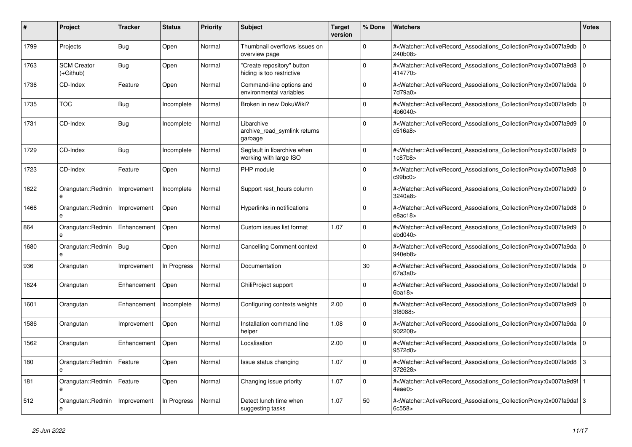| #    | Project                           | <b>Tracker</b> | <b>Status</b> | Priority | <b>Subject</b>                                          | <b>Target</b><br>version | % Done      | <b>Watchers</b>                                                                                                                                              | <b>Votes</b> |
|------|-----------------------------------|----------------|---------------|----------|---------------------------------------------------------|--------------------------|-------------|--------------------------------------------------------------------------------------------------------------------------------------------------------------|--------------|
| 1799 | Projects                          | Bug            | Open          | Normal   | Thumbnail overflows issues on<br>overview page          |                          | $\Omega$    | # <watcher::activerecord_associations_collectionproxy:0x007fa9db<br>240b08&gt;</watcher::activerecord_associations_collectionproxy:0x007fa9db<br>            | $\Omega$     |
| 1763 | <b>SCM Creator</b><br>(+Github)   | Bug            | Open          | Normal   | "Create repository" button<br>hiding is too restrictive |                          | $\mathbf 0$ | # <watcher::activerecord_associations_collectionproxy:0x007fa9d8 0<br=""  ="">414770&gt;</watcher::activerecord_associations_collectionproxy:0x007fa9d8>     |              |
| 1736 | CD-Index                          | Feature        | Open          | Normal   | Command-line options and<br>environmental variables     |                          | 0           | # <watcher::activerecord 0<br="" associations="" collectionproxy:0x007fa9da=""  ="">7d79a0&gt;</watcher::activerecord>                                       |              |
| 1735 | <b>TOC</b>                        | <b>Bug</b>     | Incomplete    | Normal   | Broken in new DokuWiki?                                 |                          | 0           | # <watcher::activerecord_associations_collectionproxy:0x007fa9db<br>4b6040&gt;</watcher::activerecord_associations_collectionproxy:0x007fa9db<br>            | $\Omega$     |
| 1731 | CD-Index                          | Bug            | Incomplete    | Normal   | Libarchive<br>archive read symlink returns<br>garbage   |                          | $\mathbf 0$ | # <watcher::activerecord_associations_collectionproxy:0x007fa9d9 0<br="">c516a8&gt;</watcher::activerecord_associations_collectionproxy:0x007fa9d9>          |              |
| 1729 | CD-Index                          | Bug            | Incomplete    | Normal   | Segfault in libarchive when<br>working with large ISO   |                          | $\Omega$    | # <watcher::activerecord 0<br="" associations="" collectionproxy:0x007fa9d9=""  ="">1c87b8&gt;</watcher::activerecord>                                       |              |
| 1723 | CD-Index                          | Feature        | Open          | Normal   | PHP module                                              |                          | $\Omega$    | # <watcher::activerecord_associations_collectionproxy:0x007fa9d8<br>c99bc0&gt;</watcher::activerecord_associations_collectionproxy:0x007fa9d8<br>            | $\Omega$     |
| 1622 | Orangutan::Redmin                 | Improvement    | Incomplete    | Normal   | Support rest hours column                               |                          | $\Omega$    | # <watcher::activerecord associations="" collectionproxy:0x007fa9d9<br="">3240a8&gt;</watcher::activerecord>                                                 | ١o           |
| 1466 | Orangutan::Redmin<br>$\mathbf{e}$ | Improvement    | Open          | Normal   | Hyperlinks in notifications                             |                          | $\mathbf 0$ | # <watcher::activerecord 0<br="" associations="" collectionproxy:0x007fa9d8=""  ="">e8ac18&gt;</watcher::activerecord>                                       |              |
| 864  | Orangutan::Redmin<br>e            | Enhancement    | Open          | Normal   | Custom issues list format                               | 1.07                     | $\Omega$    | # <watcher::activerecord_associations_collectionproxy:0x007fa9d9<br>ebd040<sub>&gt;</sub></watcher::activerecord_associations_collectionproxy:0x007fa9d9<br> | ١o           |
| 1680 | Orangutan::Redmin<br>e            | Bug            | Open          | Normal   | <b>Cancelling Comment context</b>                       |                          | 0           | # <watcher::activerecord_associations_collectionproxy:0x007fa9da 0<br=""  ="">940eb8&gt;</watcher::activerecord_associations_collectionproxy:0x007fa9da>     |              |
| 936  | Orangutan                         | Improvement    | In Progress   | Normal   | Documentation                                           |                          | 30          | # <watcher::activerecord_associations_collectionproxy:0x007fa9da 0<br=""  ="">67a3a0&gt;</watcher::activerecord_associations_collectionproxy:0x007fa9da>     |              |
| 1624 | Orangutan                         | Enhancement    | Open          | Normal   | ChiliProject support                                    |                          | $\Omega$    | # <watcher::activerecord_associations_collectionproxy:0x007fa9daf 0<br=""  ="">6ba18</watcher::activerecord_associations_collectionproxy:0x007fa9daf>        |              |
| 1601 | Orangutan                         | Enhancement    | Incomplete    | Normal   | Configuring contexts weights                            | 2.00                     | $\Omega$    | # <watcher::activerecord_associations_collectionproxy:0x007fa9d9 0<br=""  ="">3f8088&gt;</watcher::activerecord_associations_collectionproxy:0x007fa9d9>     |              |
| 1586 | Orangutan                         | Improvement    | Open          | Normal   | Installation command line<br>helper                     | 1.08                     | $\Omega$    | # <watcher::activerecord_associations_collectionproxy:0x007fa9da 0<br=""  ="">902208&gt;</watcher::activerecord_associations_collectionproxy:0x007fa9da>     |              |
| 1562 | Orangutan                         | Enhancement    | Open          | Normal   | Localisation                                            | 2.00                     | 0           | # <watcher::activerecord_associations_collectionproxy:0x007fa9da<br>9572d0&gt;</watcher::activerecord_associations_collectionproxy:0x007fa9da<br>            | l 0          |
| 180  | Orangutan::Redmin<br>e            | Feature        | Open          | Normal   | Issue status changing                                   | 1.07                     | $\Omega$    | # <watcher::activerecord_associations_collectionproxy:0x007fa9d8 3<br="">372628&gt;</watcher::activerecord_associations_collectionproxy:0x007fa9d8>          |              |
| 181  | Orangutan::Redmin<br>e            | Feature        | Open          | Normal   | Changing issue priority                                 | 1.07                     | $\Omega$    | # <watcher::activerecord_associations_collectionproxy:0x007fa9d9f 1<br=""  ="">4eae0&gt;</watcher::activerecord_associations_collectionproxy:0x007fa9d9f>    |              |
| 512  | Orangutan::Redmin<br>e            | Improvement    | In Progress   | Normal   | Detect lunch time when<br>suggesting tasks              | 1.07                     | 50          | # <watcher::activerecord_associations_collectionproxy:0x007fa9daf 3<br=""  ="">6c558&gt;</watcher::activerecord_associations_collectionproxy:0x007fa9daf>    |              |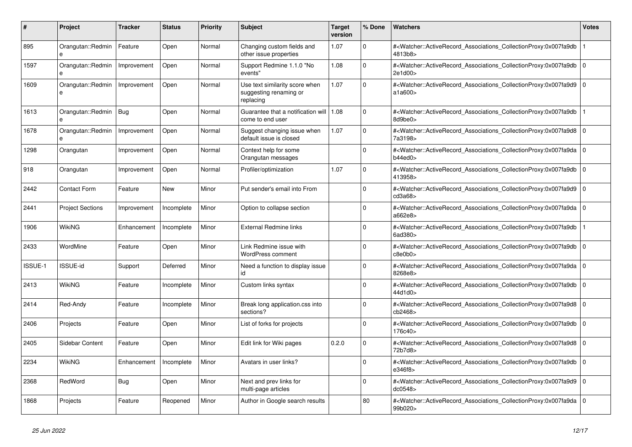| #       | <b>Project</b>          | <b>Tracker</b> | <b>Status</b> | <b>Priority</b> | <b>Subject</b>                                                        | <b>Target</b><br>version | % Done      | <b>Watchers</b>                                                                                                                                          | <b>Votes</b>   |
|---------|-------------------------|----------------|---------------|-----------------|-----------------------------------------------------------------------|--------------------------|-------------|----------------------------------------------------------------------------------------------------------------------------------------------------------|----------------|
| 895     | Orangutan::Redmin<br>e  | Feature        | Open          | Normal          | Changing custom fields and<br>other issue properties                  | 1.07                     | $\Omega$    | # <watcher::activerecord_associations_collectionproxy:0x007fa9db<br>4813b8&gt;</watcher::activerecord_associations_collectionproxy:0x007fa9db<br>        |                |
| 1597    | Orangutan::Redmin<br>e  | Improvement    | Open          | Normal          | Support Redmine 1.1.0 "No<br>events"                                  | 1.08                     | $\Omega$    | # <watcher::activerecord_associations_collectionproxy:0x007fa9db<br>2e1d00&gt;</watcher::activerecord_associations_collectionproxy:0x007fa9db<br>        | $\overline{0}$ |
| 1609    | Orangutan::Redmin<br>e  | Improvement    | Open          | Normal          | Use text similarity score when<br>suggesting renaming or<br>replacing | 1.07                     | $\Omega$    | # <watcher::activerecord_associations_collectionproxy:0x007fa9d9 0<br=""  ="">a1a600&gt;</watcher::activerecord_associations_collectionproxy:0x007fa9d9> |                |
| 1613    | Orangutan::Redmin       | Bug            | Open          | Normal          | Guarantee that a notification will 1.08<br>come to end user           |                          | $\Omega$    | # <watcher::activerecord_associations_collectionproxy:0x007fa9db<br>8d9be0&gt;</watcher::activerecord_associations_collectionproxy:0x007fa9db<br>        |                |
| 1678    | Orangutan::Redmin       | Improvement    | Open          | Normal          | Suggest changing issue when<br>default issue is closed                | 1.07                     | $\Omega$    | # <watcher::activerecord_associations_collectionproxy:0x007fa9d8<br>7a3198&gt;</watcher::activerecord_associations_collectionproxy:0x007fa9d8<br>        | $\Omega$       |
| 1298    | Orangutan               | Improvement    | Open          | Normal          | Context help for some<br>Orangutan messages                           |                          | $\Omega$    | # <watcher::activerecord 0<br="" associations="" collectionproxy:0x007fa9da=""  ="">b44ed0</watcher::activerecord>                                       |                |
| 918     | Orangutan               | Improvement    | Open          | Normal          | Profiler/optimization                                                 | 1.07                     | $\Omega$    | # <watcher::activerecord associations="" collectionproxy:0x007fa9db<br="">413958&gt;</watcher::activerecord>                                             | $\Omega$       |
| 2442    | <b>Contact Form</b>     | Feature        | <b>New</b>    | Minor           | Put sender's email into From                                          |                          | $\Omega$    | # <watcher::activerecord_associations_collectionproxy:0x007fa9d9<br>cd3a68</watcher::activerecord_associations_collectionproxy:0x007fa9d9<br>            | $\mathbf 0$    |
| 2441    | <b>Project Sections</b> | Improvement    | Incomplete    | Minor           | Option to collapse section                                            |                          | $\Omega$    | # <watcher::activerecord_associations_collectionproxy:0x007fa9da 0<br=""  ="">a662e8&gt;</watcher::activerecord_associations_collectionproxy:0x007fa9da> |                |
| 1906    | <b>WikiNG</b>           | Enhancement    | Incomplete    | Minor           | External Redmine links                                                |                          | $\Omega$    | # <watcher::activerecord_associations_collectionproxy:0x007fa9db<br>6ad380&gt;</watcher::activerecord_associations_collectionproxy:0x007fa9db<br>        |                |
| 2433    | WordMine                | Feature        | Open          | Minor           | Link Redmine issue with<br><b>WordPress comment</b>                   |                          | $\Omega$    | # <watcher::activerecord_associations_collectionproxy:0x007fa9db 0<br=""  ="">c8e0b0&gt;</watcher::activerecord_associations_collectionproxy:0x007fa9db> |                |
| ISSUE-1 | <b>ISSUE-id</b>         | Support        | Deferred      | Minor           | Need a function to display issue<br>id                                |                          | $\Omega$    | # <watcher::activerecord associations="" collectionproxy:0x007fa9da<br="">8268e8&gt;</watcher::activerecord>                                             | l 0            |
| 2413    | <b>WikiNG</b>           | Feature        | Incomplete    | Minor           | Custom links syntax                                                   |                          | $\Omega$    | # <watcher::activerecord associations="" collectionproxy:0x007fa9db<br="">44d1d0&gt;</watcher::activerecord>                                             | $\mathbf 0$    |
| 2414    | Red-Andy                | Feature        | Incomplete    | Minor           | Break long application.css into<br>sections?                          |                          | $\Omega$    | # <watcher::activerecord_associations_collectionproxy:0x007fa9d8 0<br=""  ="">cb2468&gt;</watcher::activerecord_associations_collectionproxy:0x007fa9d8> |                |
| 2406    | Projects                | Feature        | Open          | Minor           | List of forks for projects                                            |                          | $\Omega$    | # <watcher::activerecord associations="" collectionproxy:0x007fa9db<br="">176c40&gt;</watcher::activerecord>                                             | l 0            |
| 2405    | Sidebar Content         | Feature        | Open          | Minor           | Edit link for Wiki pages                                              | 0.2.0                    | $\mathbf 0$ | # <watcher::activerecord associations="" collectionproxy:0x007fa9d8<br="">72b7d8&gt;</watcher::activerecord>                                             | $\mathbf 0$    |
| 2234    | WikiNG                  | Enhancement    | Incomplete    | Minor           | Avatars in user links?                                                |                          | $\Omega$    | # <watcher::activerecord_associations_collectionproxy:0x007fa9db 0<br=""  ="">e346f8&gt;</watcher::activerecord_associations_collectionproxy:0x007fa9db> |                |
| 2368    | RedWord                 | Bug            | Open          | Minor           | Next and prev links for<br>multi-page articles                        |                          | $\Omega$    | # <watcher::activerecord_associations_collectionproxy:0x007fa9d9<br>dc0548&gt;</watcher::activerecord_associations_collectionproxy:0x007fa9d9<br>        | l 0            |
| 1868    | Projects                | Feature        | Reopened      | Minor           | Author in Google search results                                       |                          | 80          | # <watcher::activerecord_associations_collectionproxy:0x007fa9da<br>99b020&gt;</watcher::activerecord_associations_collectionproxy:0x007fa9da<br>        | $\overline{0}$ |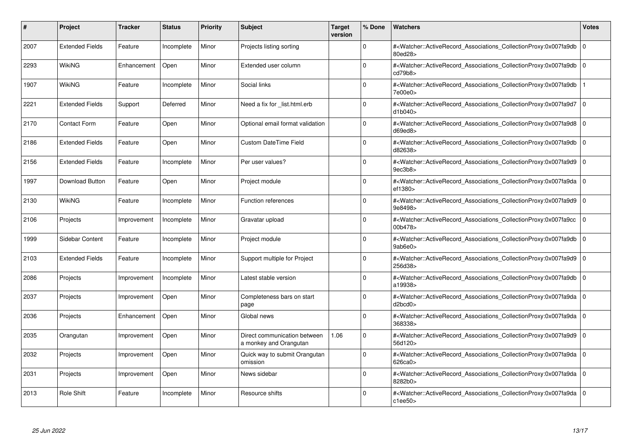| #    | Project                | <b>Tracker</b> | <b>Status</b> | <b>Priority</b> | <b>Subject</b>                                         | <b>Target</b><br>version | % Done      | <b>Watchers</b>                                                                                                                                          | <b>Votes</b> |
|------|------------------------|----------------|---------------|-----------------|--------------------------------------------------------|--------------------------|-------------|----------------------------------------------------------------------------------------------------------------------------------------------------------|--------------|
| 2007 | <b>Extended Fields</b> | Feature        | Incomplete    | Minor           | Projects listing sorting                               |                          | $\Omega$    | # <watcher::activerecord_associations_collectionproxy:0x007fa9db<br>80ed28&gt;</watcher::activerecord_associations_collectionproxy:0x007fa9db<br>        | $\mathbf 0$  |
| 2293 | WikiNG                 | Enhancement    | Open          | Minor           | Extended user column                                   |                          | $\Omega$    | # <watcher::activerecord 0<br="" associations="" collectionproxy:0x007fa9db=""  ="">cd79b8&gt;</watcher::activerecord>                                   |              |
| 1907 | WikiNG                 | Feature        | Incomplete    | Minor           | Social links                                           |                          | $\Omega$    | # <watcher::activerecord associations="" collectionproxy:0x007fa9db<br="">7e00e0&gt;</watcher::activerecord>                                             |              |
| 2221 | <b>Extended Fields</b> | Support        | Deferred      | Minor           | Need a fix for list.html.erb                           |                          | $\Omega$    | # <watcher::activerecord_associations_collectionproxy:0x007fa9d7 0<br=""  ="">d1b040</watcher::activerecord_associations_collectionproxy:0x007fa9d7>     |              |
| 2170 | <b>Contact Form</b>    | Feature        | Open          | Minor           | Optional email format validation                       |                          | $\Omega$    | # <watcher::activerecord associations="" collectionproxy:0x007fa9d8<br="">d69ed8</watcher::activerecord>                                                 | $\mathbf 0$  |
| 2186 | <b>Extended Fields</b> | Feature        | Open          | Minor           | <b>Custom DateTime Field</b>                           |                          | $\Omega$    | # <watcher::activerecord associations="" collectionproxy:0x007fa9db<br="">d82638&gt;</watcher::activerecord>                                             | $\mathbf 0$  |
| 2156 | <b>Extended Fields</b> | Feature        | Incomplete    | Minor           | Per user values?                                       |                          | $\Omega$    | # <watcher::activerecord_associations_collectionproxy:0x007fa9d9 0<br=""  ="">9ec3b8</watcher::activerecord_associations_collectionproxy:0x007fa9d9>     |              |
| 1997 | <b>Download Button</b> | Feature        | Open          | Minor           | Project module                                         |                          | $\Omega$    | # <watcher::activerecord_associations_collectionproxy:0x007fa9da 0<br=""  ="">ef1380&gt;</watcher::activerecord_associations_collectionproxy:0x007fa9da> |              |
| 2130 | WikiNG                 | Feature        | Incomplete    | Minor           | Function references                                    |                          | $\Omega$    | # <watcher::activerecord associations="" collectionproxy:0x007fa9d9<br="">9e8498&gt;</watcher::activerecord>                                             | $\mathbf 0$  |
| 2106 | Projects               | Improvement    | Incomplete    | Minor           | Gravatar upload                                        |                          | $\Omega$    | # <watcher::activerecord associations="" collectionproxy:0x007fa9cc<br="">00b478&gt;</watcher::activerecord>                                             | $\mathbf 0$  |
| 1999 | Sidebar Content        | Feature        | Incomplete    | Minor           | Project module                                         |                          | $\Omega$    | # <watcher::activerecord_associations_collectionproxy:0x007fa9db  <br="">9ab6e0&gt;</watcher::activerecord_associations_collectionproxy:0x007fa9db>      | $\mathbf 0$  |
| 2103 | <b>Extended Fields</b> | Feature        | Incomplete    | Minor           | Support multiple for Project                           |                          | $\Omega$    | # <watcher::activerecord_associations_collectionproxy:0x007fa9d9  <br="">256d38&gt;</watcher::activerecord_associations_collectionproxy:0x007fa9d9>      | $\mathbf 0$  |
| 2086 | Projects               | Improvement    | Incomplete    | Minor           | Latest stable version                                  |                          | $\Omega$    | # <watcher::activerecord associations="" collectionproxy:0x007fa9db<br="">a19938&gt;</watcher::activerecord>                                             | $\mathbf 0$  |
| 2037 | Projects               | Improvement    | Open          | Minor           | Completeness bars on start<br>page                     |                          | 0           | # <watcher::activerecord_associations_collectionproxy:0x007fa9da 0<br=""  ="">d2bcd0</watcher::activerecord_associations_collectionproxy:0x007fa9da>     |              |
| 2036 | Projects               | Enhancement    | Open          | Minor           | Global news                                            |                          | $\Omega$    | # <watcher::activerecord_associations_collectionproxy:0x007fa9da 0<br=""  ="">368338&gt;</watcher::activerecord_associations_collectionproxy:0x007fa9da> |              |
| 2035 | Orangutan              | Improvement    | Open          | Minor           | Direct communication between<br>a monkey and Orangutan | 1.06                     | $\Omega$    | # <watcher::activerecord associations="" collectionproxy:0x007fa9d9<br="">56d120&gt;</watcher::activerecord>                                             | $\mathbf 0$  |
| 2032 | Projects               | Improvement    | Open          | Minor           | Quick way to submit Orangutan<br>omission              |                          | $\Omega$    | # <watcher::activerecord 0<br="" associations="" collectionproxy:0x007fa9da=""  ="">626ca0&gt;</watcher::activerecord>                                   |              |
| 2031 | Projects               | Improvement    | Open          | Minor           | News sidebar                                           |                          | $\mathbf 0$ | # <watcher::activerecord associations="" collectionproxy:0x007fa9da<br="">8282b0&gt;</watcher::activerecord>                                             | $\mathbf 0$  |
| 2013 | <b>Role Shift</b>      | Feature        | Incomplete    | Minor           | Resource shifts                                        |                          | $\Omega$    | # <watcher::activerecord_associations_collectionproxy:0x007fa9da 0<br=""  ="">c1ee50&gt;</watcher::activerecord_associations_collectionproxy:0x007fa9da> |              |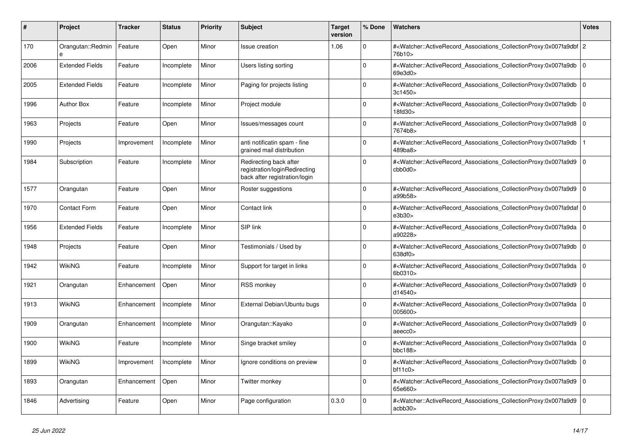| #    | <b>Project</b>                | <b>Tracker</b> | <b>Status</b> | <b>Priority</b> | <b>Subject</b>                                                                           | <b>Target</b><br>version | % Done      | <b>Watchers</b>                                                                                                                                           | Votes          |
|------|-------------------------------|----------------|---------------|-----------------|------------------------------------------------------------------------------------------|--------------------------|-------------|-----------------------------------------------------------------------------------------------------------------------------------------------------------|----------------|
| 170  | Orangutan::Redmin<br>$\theta$ | Feature        | Open          | Minor           | <b>Issue creation</b>                                                                    | 1.06                     | $\Omega$    | # <watcher::activerecord_associations_collectionproxy:0x007fa9dbf 2<br="">76b10&gt;</watcher::activerecord_associations_collectionproxy:0x007fa9dbf>      |                |
| 2006 | <b>Extended Fields</b>        | Feature        | Incomplete    | Minor           | Users listing sorting                                                                    |                          | 0           | # <watcher::activerecord_associations_collectionproxy:0x007fa9db<br>69e3d0&gt;</watcher::activerecord_associations_collectionproxy:0x007fa9db<br>         | l O            |
| 2005 | <b>Extended Fields</b>        | Feature        | Incomplete    | Minor           | Paging for projects listing                                                              |                          | $\Omega$    | # <watcher::activerecord_associations_collectionproxy:0x007fa9db<br>3c1450</watcher::activerecord_associations_collectionproxy:0x007fa9db<br>             | l o            |
| 1996 | <b>Author Box</b>             | Feature        | Incomplete    | Minor           | Project module                                                                           |                          | O           | # <watcher::activerecord_associations_collectionproxy:0x007fa9db<br>18fd30&gt;</watcher::activerecord_associations_collectionproxy:0x007fa9db<br>         | l 0            |
| 1963 | Projects                      | Feature        | Open          | Minor           | Issues/messages count                                                                    |                          | $\mathbf 0$ | # <watcher::activerecord_associations_collectionproxy:0x007fa9d8<br>7674b8&gt;</watcher::activerecord_associations_collectionproxy:0x007fa9d8<br>         | $\overline{0}$ |
| 1990 | Projects                      | Improvement    | Incomplete    | Minor           | anti notificatin spam - fine<br>grained mail distribution                                |                          | $\Omega$    | # <watcher::activerecord associations="" collectionproxy:0x007fa9db<br="">489ba8&gt;</watcher::activerecord>                                              |                |
| 1984 | Subscription                  | Feature        | Incomplete    | Minor           | Redirecting back after<br>registration/loginRedirecting<br>back after registration/login |                          | O           | # <watcher::activerecord associations="" collectionproxy:0x007fa9d9<br="">cbb0d0&gt;</watcher::activerecord>                                              | ۱o             |
| 1577 | Orangutan                     | Feature        | Open          | Minor           | Roster suggestions                                                                       |                          | O           | # <watcher::activerecord_associations_collectionproxy:0x007fa9d9 0<br=""  ="">a99b58&gt;</watcher::activerecord_associations_collectionproxy:0x007fa9d9>  |                |
| 1970 | <b>Contact Form</b>           | Feature        | Open          | Minor           | Contact link                                                                             |                          | 0           | # <watcher::activerecord_associations_collectionproxy:0x007fa9daf 0<br=""  ="">e3b30&gt;</watcher::activerecord_associations_collectionproxy:0x007fa9daf> |                |
| 1956 | <b>Extended Fields</b>        | Feature        | Incomplete    | Minor           | SIP link                                                                                 |                          | 0           | # <watcher::activerecord_associations_collectionproxy:0x007fa9da<br>a90228&gt;</watcher::activerecord_associations_collectionproxy:0x007fa9da<br>         | ۱o             |
| 1948 | Projects                      | Feature        | Open          | Minor           | Testimonials / Used by                                                                   |                          | Ō           | # <watcher::activerecord associations="" collectionproxy:0x007fa9db<br="">638df0&gt;</watcher::activerecord>                                              | ۱o             |
| 1942 | <b>WikiNG</b>                 | Feature        | Incomplete    | Minor           | Support for target in links                                                              |                          | $\Omega$    | # <watcher::activerecord associations="" collectionproxy:0x007fa9da<br="">6b0310&gt;</watcher::activerecord>                                              | l O            |
| 1921 | Orangutan                     | Enhancement    | Open          | Minor           | <b>RSS monkey</b>                                                                        |                          | 0           | # <watcher::activerecord associations="" collectionproxy:0x007fa9d9<br="">d14540&gt;</watcher::activerecord>                                              | l 0            |
| 1913 | <b>WikiNG</b>                 | Enhancement    | Incomplete    | Minor           | External Debian/Ubuntu bugs                                                              |                          | $\Omega$    | # <watcher::activerecord associations="" collectionproxy:0x007fa9da<br="">005600&gt;</watcher::activerecord>                                              | l o            |
| 1909 | Orangutan                     | Enhancement    | Incomplete    | Minor           | Orangutan::Kayako                                                                        |                          | $\Omega$    | # <watcher::activerecord_associations_collectionproxy:0x007fa9d9<br>aeecc0&gt;</watcher::activerecord_associations_collectionproxy:0x007fa9d9<br>         | 0              |
| 1900 | WikiNG                        | Feature        | Incomplete    | Minor           | Singe bracket smiley                                                                     |                          | 0           | # <watcher::activerecord_associations_collectionproxy:0x007fa9da<br>bbc188&gt;</watcher::activerecord_associations_collectionproxy:0x007fa9da<br>         | l 0            |
| 1899 | WikiNG                        | Improvement    | Incomplete    | Minor           | Ignore conditions on preview                                                             |                          | $\Omega$    | # <watcher::activerecord_associations_collectionproxy:0x007fa9db<br>bf11c0</watcher::activerecord_associations_collectionproxy:0x007fa9db<br>             | l O            |
| 1893 | Orangutan                     | Enhancement    | Open          | Minor           | Twitter monkey                                                                           |                          | $\Omega$    | # <watcher::activerecord associations="" collectionproxy:0x007fa9d9<br="">65e660&gt;</watcher::activerecord>                                              | l 0            |
| 1846 | Advertising                   | Feature        | Open          | Minor           | Page configuration                                                                       | 0.3.0                    | $\Omega$    | # <watcher::activerecord_associations_collectionproxy:0x007fa9d9<br>acbb30&gt;</watcher::activerecord_associations_collectionproxy:0x007fa9d9<br>         | l O            |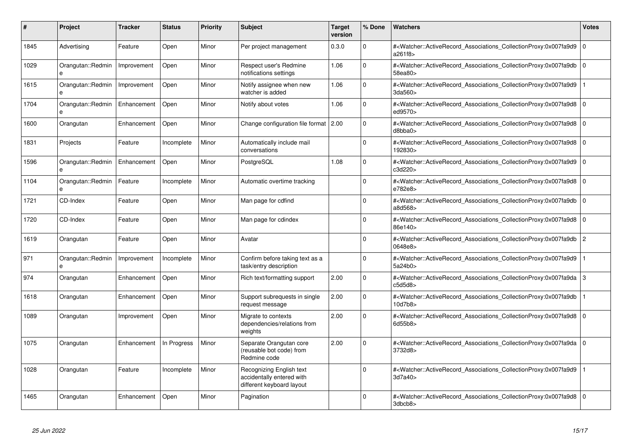| #    | Project                | <b>Tracker</b> | <b>Status</b> | <b>Priority</b> | <b>Subject</b>                                                                     | <b>Target</b><br>version | % Done   | <b>Watchers</b>                                                                                                                                          | <b>Votes</b>   |
|------|------------------------|----------------|---------------|-----------------|------------------------------------------------------------------------------------|--------------------------|----------|----------------------------------------------------------------------------------------------------------------------------------------------------------|----------------|
| 1845 | Advertising            | Feature        | Open          | Minor           | Per project management                                                             | 0.3.0                    | $\Omega$ | # <watcher::activerecord associations="" collectionproxy:0x007fa9d9<br="">a261f8&gt;</watcher::activerecord>                                             | $\mathbf 0$    |
| 1029 | Orangutan::Redmin<br>e | Improvement    | Open          | Minor           | Respect user's Redmine<br>notifications settings                                   | 1.06                     | $\Omega$ | # <watcher::activerecord_associations_collectionproxy:0x007fa9db 0<br="">58ea80&gt;</watcher::activerecord_associations_collectionproxy:0x007fa9db>      |                |
| 1615 | Orangutan::Redmin<br>e | Improvement    | Open          | Minor           | Notify assignee when new<br>watcher is added                                       | 1.06                     | $\Omega$ | # <watcher::activerecord associations="" collectionproxy:0x007fa9d9<br="">3da560&gt;</watcher::activerecord>                                             |                |
| 1704 | Orangutan::Redmin<br>e | Enhancement    | Open          | Minor           | Notify about votes                                                                 | 1.06                     | $\Omega$ | # <watcher::activerecord_associations_collectionproxy:0x007fa9d8 0<br=""  ="">ed9570&gt;</watcher::activerecord_associations_collectionproxy:0x007fa9d8> |                |
| 1600 | Orangutan              | Enhancement    | Open          | Minor           | Change configuration file format 2.00                                              |                          | $\Omega$ | # <watcher::activerecord_associations_collectionproxy:0x007fa9d8 0<br=""  ="">d8bbaa</watcher::activerecord_associations_collectionproxy:0x007fa9d8>     |                |
| 1831 | Projects               | Feature        | Incomplete    | Minor           | Automatically include mail<br>conversations                                        |                          | $\Omega$ | # <watcher::activerecord_associations_collectionproxy:0x007fa9d8<br>192830&gt;</watcher::activerecord_associations_collectionproxy:0x007fa9d8<br>        | l 0            |
| 1596 | Orangutan::Redmin      | Enhancement    | Open          | Minor           | PostgreSQL                                                                         | 1.08                     | $\Omega$ | # <watcher::activerecord_associations_collectionproxy:0x007fa9d9 0<br=""  ="">c3d220&gt;</watcher::activerecord_associations_collectionproxy:0x007fa9d9> |                |
| 1104 | Orangutan::Redmin<br>e | Feature        | Incomplete    | Minor           | Automatic overtime tracking                                                        |                          | $\Omega$ | # <watcher::activerecord associations="" collectionproxy:0x007fa9d8<br="">e782e8&gt;</watcher::activerecord>                                             | $\mathbf 0$    |
| 1721 | CD-Index               | Feature        | Open          | Minor           | Man page for cdfind                                                                |                          | $\Omega$ | # <watcher::activerecord_associations_collectionproxy:0x007fa9db 0<br=""  ="">a8d568&gt;</watcher::activerecord_associations_collectionproxy:0x007fa9db> |                |
| 1720 | CD-Index               | Feature        | Open          | Minor           | Man page for cdindex                                                               |                          | $\Omega$ | # <watcher::activerecord 0<br="" associations="" collectionproxy:0x007fa9d8=""  ="">86e140&gt;</watcher::activerecord>                                   |                |
| 1619 | Orangutan              | Feature        | Open          | Minor           | Avatar                                                                             |                          | $\Omega$ | # <watcher::activerecord associations="" collectionproxy:0x007fa9db<br="">0648e8&gt;</watcher::activerecord>                                             | $\overline{2}$ |
| 971  | Orangutan::Redmin<br>e | Improvement    | Incomplete    | Minor           | Confirm before taking text as a<br>task/entry description                          |                          | $\Omega$ | # <watcher::activerecord associations="" collectionproxy:0x007fa9d9<br="">5a24b0&gt;</watcher::activerecord>                                             |                |
| 974  | Orangutan              | Enhancement    | Open          | Minor           | Rich text/formatting support                                                       | 2.00                     | $\Omega$ | # <watcher::activerecord associations="" collectionproxy:0x007fa9da<br="">c5d5d8</watcher::activerecord>                                                 | 3              |
| 1618 | Orangutan              | Enhancement    | Open          | Minor           | Support subrequests in single<br>request message                                   | 2.00                     | $\Omega$ | # <watcher::activerecord_associations_collectionproxy:0x007fa9db<br>10d7b8&gt;</watcher::activerecord_associations_collectionproxy:0x007fa9db<br>        |                |
| 1089 | Orangutan              | Improvement    | Open          | Minor           | Migrate to contexts<br>dependencies/relations from<br>weights                      | 2.00                     | $\Omega$ | # <watcher::activerecord associations="" collectionproxy:0x007fa9d8<br="">6d55b8&gt;</watcher::activerecord>                                             | l 0            |
| 1075 | Orangutan              | Enhancement    | In Progress   | Minor           | Separate Orangutan core<br>(reusable bot code) from<br>Redmine code                | 2.00                     | $\Omega$ | # <watcher::activerecord associations="" collectionproxy:0x007fa9da<br="">3732d8&gt;</watcher::activerecord>                                             | l 0            |
| 1028 | Orangutan              | Feature        | Incomplete    | Minor           | Recognizing English text<br>accidentally entered with<br>different keyboard layout |                          | $\Omega$ | # <watcher::activerecord_associations_collectionproxy:0x007fa9d9<br>3d7a40&gt;</watcher::activerecord_associations_collectionproxy:0x007fa9d9<br>        |                |
| 1465 | Orangutan              | Enhancement    | Open          | Minor           | Pagination                                                                         |                          | $\Omega$ | # <watcher::activerecord 0<br="" associations="" collectionproxy:0x007fa9d8=""  ="">3dbcb8&gt;</watcher::activerecord>                                   |                |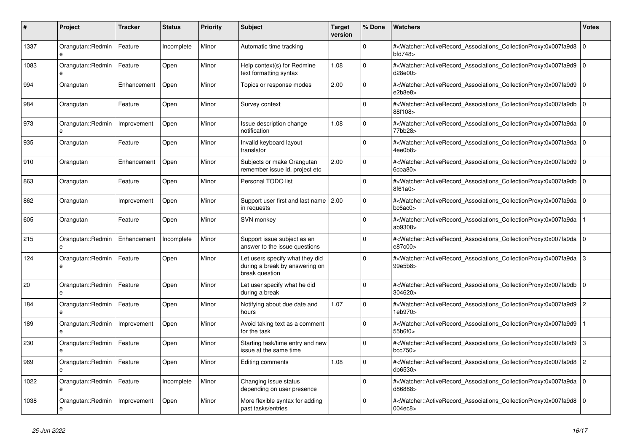| #    | Project                | <b>Tracker</b> | <b>Status</b> | <b>Priority</b> | <b>Subject</b>                                                                      | <b>Target</b><br>version | % Done   | <b>Watchers</b>                                                                                                                                              | <b>Votes</b> |
|------|------------------------|----------------|---------------|-----------------|-------------------------------------------------------------------------------------|--------------------------|----------|--------------------------------------------------------------------------------------------------------------------------------------------------------------|--------------|
| 1337 | Orangutan::Redmin<br>e | Feature        | Incomplete    | Minor           | Automatic time tracking                                                             |                          | $\Omega$ | # <watcher::activerecord_associations_collectionproxy:0x007fa9d8<br>bfd748&gt;</watcher::activerecord_associations_collectionproxy:0x007fa9d8<br>            | ١o           |
| 1083 | Orangutan::Redmin<br>e | Feature        | Open          | Minor           | Help context(s) for Redmine<br>text formatting syntax                               | 1.08                     | $\Omega$ | # <watcher::activerecord_associations_collectionproxy:0x007fa9d9<br>d28e00&gt;</watcher::activerecord_associations_collectionproxy:0x007fa9d9<br>            | l O          |
| 994  | Orangutan              | Enhancement    | Open          | Minor           | Topics or response modes                                                            | 2.00                     | $\Omega$ | # <watcher::activerecord_associations_collectionproxy:0x007fa9d9 0<br="">e2b8e8</watcher::activerecord_associations_collectionproxy:0x007fa9d9>              |              |
| 984  | Orangutan              | Feature        | Open          | Minor           | Survey context                                                                      |                          | $\Omega$ | # <watcher::activerecord_associations_collectionproxy:0x007fa9db<br>88f108&gt;</watcher::activerecord_associations_collectionproxy:0x007fa9db<br>            | $\mathbf 0$  |
| 973  | Orangutan::Redmin<br>e | Improvement    | Open          | Minor           | Issue description change<br>notification                                            | 1.08                     | $\Omega$ | # <watcher::activerecord_associations_collectionproxy:0x007fa9da 0<br="">77bb28&gt;</watcher::activerecord_associations_collectionproxy:0x007fa9da>          |              |
| 935  | Orangutan              | Feature        | Open          | Minor           | Invalid keyboard layout<br>translator                                               |                          | $\Omega$ | # <watcher::activerecord 0<br="" associations="" collectionproxy:0x007fa9da=""  ="">4ee0b8&gt;</watcher::activerecord>                                       |              |
| 910  | Orangutan              | Enhancement    | Open          | Minor           | Subjects or make Orangutan<br>remember issue id, project etc                        | 2.00                     | $\Omega$ | # <watcher::activerecord associations="" collectionproxy:0x007fa9d9<br="">6cba80&gt;</watcher::activerecord>                                                 | $\mathbf 0$  |
| 863  | Orangutan              | Feature        | Open          | Minor           | Personal TODO list                                                                  |                          | $\Omega$ | # <watcher::activerecord_associations_collectionproxy:0x007fa9db 0<br=""  ="">8f61a0&gt;</watcher::activerecord_associations_collectionproxy:0x007fa9db>     |              |
| 862  | Orangutan              | Improvement    | Open          | Minor           | Support user first and last name 2.00<br>in requests                                |                          | $\Omega$ | # <watcher::activerecord_associations_collectionproxy:0x007fa9da 0<br=""  ="">bc6ac0</watcher::activerecord_associations_collectionproxy:0x007fa9da>         |              |
| 605  | Orangutan              | Feature        | Open          | Minor           | SVN monkey                                                                          |                          | $\Omega$ | # <watcher::activerecord associations="" collectionproxy:0x007fa9da<br="">ab9308&gt;</watcher::activerecord>                                                 |              |
| 215  | Orangutan::Redmin<br>e | Enhancement    | Incomplete    | Minor           | Support issue subject as an<br>answer to the issue questions                        |                          | $\Omega$ | # <watcher::activerecord_associations_collectionproxy:0x007fa9da 0<br="">e87c00&gt;</watcher::activerecord_associations_collectionproxy:0x007fa9da>          |              |
| 124  | Orangutan::Redmin<br>e | Feature        | Open          | Minor           | Let users specify what they did<br>during a break by answering on<br>break question |                          | $\Omega$ | # <watcher::activerecord_associations_collectionproxy:0x007fa9da 3<br="">99e5b8&gt;</watcher::activerecord_associations_collectionproxy:0x007fa9da>          |              |
| 20   | Orangutan::Redmin<br>e | Feature        | Open          | Minor           | Let user specify what he did<br>during a break                                      |                          | $\Omega$ | # <watcher::activerecord_associations_collectionproxy:0x007fa9db<br>304620&gt;</watcher::activerecord_associations_collectionproxy:0x007fa9db<br>            | $\Omega$     |
| 184  | Orangutan::Redmin<br>e | Feature        | Open          | Minor           | Notifying about due date and<br>hours                                               | 1.07                     | $\Omega$ | # <watcher::activerecord_associations_collectionproxy:0x007fa9d9 2<br="">1eb970&gt;</watcher::activerecord_associations_collectionproxy:0x007fa9d9>          |              |
| 189  | Orangutan::Redmin<br>e | Improvement    | Open          | Minor           | Avoid taking text as a comment<br>for the task                                      |                          | $\Omega$ | # <watcher::activerecord_associations_collectionproxy:0x007fa9d9<br>55b6f0&gt;</watcher::activerecord_associations_collectionproxy:0x007fa9d9<br>            |              |
| 230  | Orangutan::Redmin<br>e | Feature        | Open          | Minor           | Starting task/time entry and new<br>issue at the same time                          |                          | $\Omega$ | # <watcher::activerecord_associations_collectionproxy:0x007fa9d9<br>bcc750<sub>&gt;</sub></watcher::activerecord_associations_collectionproxy:0x007fa9d9<br> | 3            |
| 969  | Orangutan::Redmin<br>e | Feature        | Open          | Minor           | Editing comments                                                                    | 1.08                     | $\Omega$ | # <watcher::activerecord_associations_collectionproxy:0x007fa9d8 2<br="">db6530&gt;</watcher::activerecord_associations_collectionproxy:0x007fa9d8>          |              |
| 1022 | Orangutan::Redmin<br>e | Feature        | Incomplete    | Minor           | Changing issue status<br>depending on user presence                                 |                          | $\Omega$ | # <watcher::activerecord_associations_collectionproxy:0x007fa9da 0<br=""  ="">d86888&gt;</watcher::activerecord_associations_collectionproxy:0x007fa9da>     |              |
| 1038 | Orangutan::Redmin<br>e | Improvement    | Open          | Minor           | More flexible syntax for adding<br>past tasks/entries                               |                          | $\Omega$ | # <watcher::activerecord_associations_collectionproxy:0x007fa9d8<br>004ec8&gt;</watcher::activerecord_associations_collectionproxy:0x007fa9d8<br>            | l O          |